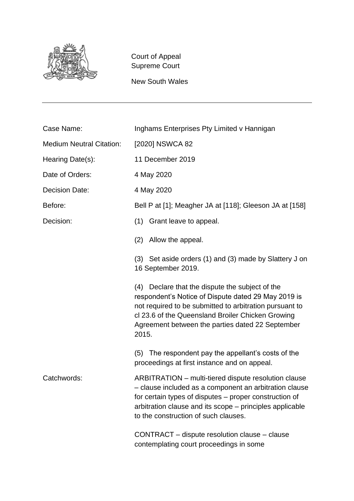

Court of Appeal Supreme Court

New South Wales

| Case Name:                      | Inghams Enterprises Pty Limited v Hannigan                                                                                                                                                                                                                                          |  |
|---------------------------------|-------------------------------------------------------------------------------------------------------------------------------------------------------------------------------------------------------------------------------------------------------------------------------------|--|
| <b>Medium Neutral Citation:</b> | [2020] NSWCA 82                                                                                                                                                                                                                                                                     |  |
| Hearing Date(s):                | 11 December 2019                                                                                                                                                                                                                                                                    |  |
| Date of Orders:                 | 4 May 2020                                                                                                                                                                                                                                                                          |  |
| <b>Decision Date:</b>           | 4 May 2020                                                                                                                                                                                                                                                                          |  |
| Before:                         | Bell P at [1]; Meagher JA at [118]; Gleeson JA at [158]                                                                                                                                                                                                                             |  |
| Decision:                       | (1) Grant leave to appeal.                                                                                                                                                                                                                                                          |  |
|                                 | Allow the appeal.<br>(2)                                                                                                                                                                                                                                                            |  |
|                                 | (3) Set aside orders (1) and (3) made by Slattery J on<br>16 September 2019.                                                                                                                                                                                                        |  |
|                                 | (4) Declare that the dispute the subject of the<br>respondent's Notice of Dispute dated 29 May 2019 is<br>not required to be submitted to arbitration pursuant to<br>cl 23.6 of the Queensland Broiler Chicken Growing<br>Agreement between the parties dated 22 September<br>2015. |  |
|                                 | (5) The respondent pay the appellant's costs of the<br>proceedings at first instance and on appeal.                                                                                                                                                                                 |  |
| Catchwords:                     | ARBITRATION – multi-tiered dispute resolution clause<br>clause included as a component an arbitration clause<br>for certain types of disputes - proper construction of<br>arbitration clause and its scope – principles applicable<br>to the construction of such clauses.          |  |
|                                 | CONTRACT - dispute resolution clause - clause<br>contemplating court proceedings in some                                                                                                                                                                                            |  |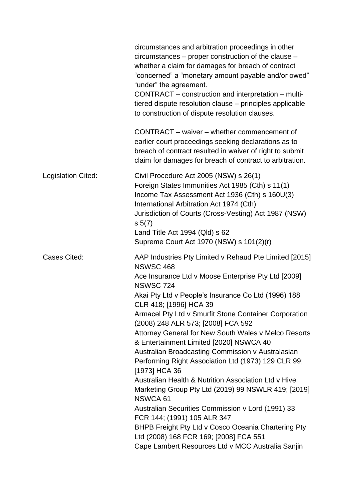|                     | circumstances and arbitration proceedings in other<br>circumstances - proper construction of the clause -<br>whether a claim for damages for breach of contract<br>"concerned" a "monetary amount payable and/or owed"<br>"under" the agreement.<br>CONTRACT – construction and interpretation – multi-<br>tiered dispute resolution clause - principles applicable<br>to construction of dispute resolution clauses.                                                                                                                                                                                                                                                                                                                                                                                                                                                                                                                                 |
|---------------------|-------------------------------------------------------------------------------------------------------------------------------------------------------------------------------------------------------------------------------------------------------------------------------------------------------------------------------------------------------------------------------------------------------------------------------------------------------------------------------------------------------------------------------------------------------------------------------------------------------------------------------------------------------------------------------------------------------------------------------------------------------------------------------------------------------------------------------------------------------------------------------------------------------------------------------------------------------|
|                     | CONTRACT – waiver – whether commencement of<br>earlier court proceedings seeking declarations as to<br>breach of contract resulted in waiver of right to submit<br>claim for damages for breach of contract to arbitration.                                                                                                                                                                                                                                                                                                                                                                                                                                                                                                                                                                                                                                                                                                                           |
| Legislation Cited:  | Civil Procedure Act 2005 (NSW) s 26(1)<br>Foreign States Immunities Act 1985 (Cth) s 11(1)<br>Income Tax Assessment Act 1936 (Cth) s 160U(3)<br>International Arbitration Act 1974 (Cth)<br>Jurisdiction of Courts (Cross-Vesting) Act 1987 (NSW)<br>s 5(7)<br>Land Title Act 1994 (Qld) s 62<br>Supreme Court Act 1970 (NSW) s 101(2)(r)                                                                                                                                                                                                                                                                                                                                                                                                                                                                                                                                                                                                             |
| <b>Cases Cited:</b> | AAP Industries Pty Limited v Rehaud Pte Limited [2015]<br><b>NSWSC 468</b><br>Ace Insurance Ltd v Moose Enterprise Pty Ltd [2009]<br><b>NSWSC 724</b><br>Akai Pty Ltd v People's Insurance Co Ltd (1996) 188<br>CLR 418; [1996] HCA 39<br>Armacel Pty Ltd v Smurfit Stone Container Corporation<br>(2008) 248 ALR 573; [2008] FCA 592<br>Attorney General for New South Wales v Melco Resorts<br>& Entertainment Limited [2020] NSWCA 40<br>Australian Broadcasting Commission v Australasian<br>Performing Right Association Ltd (1973) 129 CLR 99;<br>[1973] HCA 36<br>Australian Health & Nutrition Association Ltd y Hive<br>Marketing Group Pty Ltd (2019) 99 NSWLR 419; [2019]<br>NSWCA <sub>61</sub><br>Australian Securities Commission v Lord (1991) 33<br>FCR 144; (1991) 105 ALR 347<br>BHPB Freight Pty Ltd v Cosco Oceania Chartering Pty<br>Ltd (2008) 168 FCR 169; [2008] FCA 551<br>Cape Lambert Resources Ltd v MCC Australia Sanjin |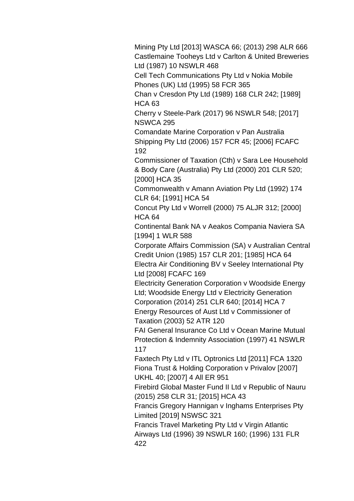Mining Pty Ltd [2013] WASCA 66; (2013) 298 ALR 666 Castlemaine Tooheys Ltd v Carlton & United Breweries Ltd (1987) 10 NSWLR 468

Cell Tech Communications Pty Ltd v Nokia Mobile Phones (UK) Ltd (1995) 58 FCR 365

Chan v Cresdon Pty Ltd (1989) 168 CLR 242; [1989] HCA 63

Cherry v Steele-Park (2017) 96 NSWLR 548; [2017] NSWCA 295

Comandate Marine Corporation v Pan Australia Shipping Pty Ltd (2006) 157 FCR 45; [2006] FCAFC 192

Commissioner of Taxation (Cth) v Sara Lee Household & Body Care (Australia) Pty Ltd (2000) 201 CLR 520; [2000] HCA 35

Commonwealth v Amann Aviation Pty Ltd (1992) 174 CLR 64; [1991] HCA 54

Concut Pty Ltd v Worrell (2000) 75 ALJR 312; [2000] HCA 64

Continental Bank NA v Aeakos Compania Naviera SA [1994] 1 WLR 588

Corporate Affairs Commission (SA) v Australian Central Credit Union (1985) 157 CLR 201; [1985] HCA 64 Electra Air Conditioning BV v Seeley International Pty Ltd [2008] FCAFC 169

Electricity Generation Corporation v Woodside Energy Ltd; Woodside Energy Ltd v Electricity Generation Corporation (2014) 251 CLR 640; [2014] HCA 7 Energy Resources of Aust Ltd v Commissioner of Taxation (2003) 52 ATR 120

FAI General Insurance Co Ltd v Ocean Marine Mutual Protection & Indemnity Association (1997) 41 NSWLR 117

Faxtech Pty Ltd v ITL Optronics Ltd [2011] FCA 1320 Fiona Trust & Holding Corporation v Privalov [2007] UKHL 40; [2007] 4 All ER 951

Firebird Global Master Fund II Ltd v Republic of Nauru (2015) 258 CLR 31; [2015] HCA 43

Francis Gregory Hannigan v Inghams Enterprises Pty Limited [2019] NSWSC 321

Francis Travel Marketing Pty Ltd v Virgin Atlantic Airways Ltd (1996) 39 NSWLR 160; (1996) 131 FLR 422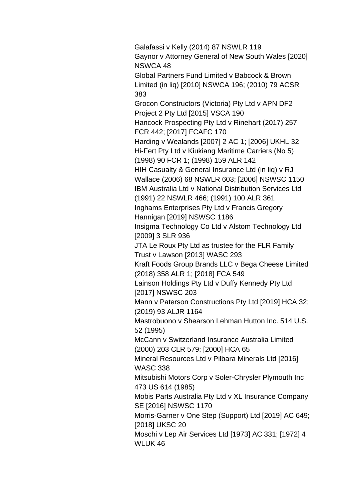Galafassi v Kelly (2014) 87 NSWLR 119 Gaynor v Attorney General of New South Wales [2020] NSWCA 48 Global Partners Fund Limited v Babcock & Brown Limited (in liq) [2010] NSWCA 196; (2010) 79 ACSR 383 Grocon Constructors (Victoria) Pty Ltd v APN DF2 Project 2 Pty Ltd [2015] VSCA 190 Hancock Prospecting Pty Ltd v Rinehart (2017) 257 FCR 442; [2017] FCAFC 170 Harding v Wealands [2007] 2 AC 1; [2006] UKHL 32 Hi-Fert Pty Ltd v Kiukiang Maritime Carriers (No 5) (1998) 90 FCR 1; (1998) 159 ALR 142 HIH Casualty & General Insurance Ltd (in liq) v RJ Wallace (2006) 68 NSWLR 603; [2006] NSWSC 1150 IBM Australia Ltd v National Distribution Services Ltd (1991) 22 NSWLR 466; (1991) 100 ALR 361 Inghams Enterprises Pty Ltd v Francis Gregory Hannigan [2019] NSWSC 1186 Insigma Technology Co Ltd v Alstom Technology Ltd [2009] 3 SLR 936 JTA Le Roux Pty Ltd as trustee for the FLR Family Trust v Lawson [2013] WASC 293 Kraft Foods Group Brands LLC v Bega Cheese Limited (2018) 358 ALR 1; [2018] FCA 549 Lainson Holdings Pty Ltd v Duffy Kennedy Pty Ltd [2017] NSWSC 203 Mann v Paterson Constructions Pty Ltd [2019] HCA 32; (2019) 93 ALJR 1164 Mastrobuono v Shearson Lehman Hutton Inc. 514 U.S. 52 (1995) McCann v Switzerland Insurance Australia Limited (2000) 203 CLR 579; [2000] HCA 65 Mineral Resources Ltd v Pilbara Minerals Ltd [2016] WASC 338 Mitsubishi Motors Corp v Soler-Chrysler Plymouth Inc 473 US 614 (1985) Mobis Parts Australia Pty Ltd v XL Insurance Company SE [2016] NSWSC 1170 Morris-Garner v One Step (Support) Ltd [2019] AC 649; [2018] UKSC 20 Moschi v Lep Air Services Ltd [1973] AC 331; [1972] 4 WLUK 46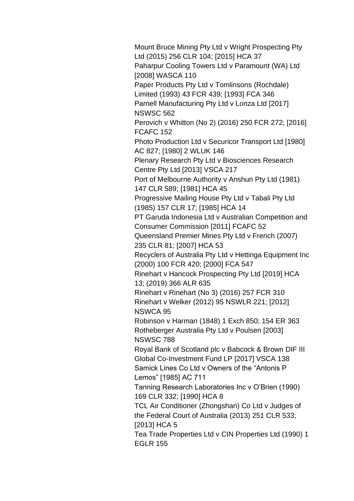Mount Bruce Mining Pty Ltd v Wright Prospecting Pty Ltd (2015) 256 CLR 104; [2015] HCA 37 Paharpur Cooling Towers Ltd v Paramount (WA) Ltd [2008] WASCA 110 Paper Products Pty Ltd v Tomlinsons (Rochdale) Limited (1993) 43 FCR 439; [1993] FCA 346 Parnell Manufacturing Pty Ltd v Lonza Ltd [2017] NSWSC 562 Perovich v Whitton (No 2) (2016) 250 FCR 272; [2016] FCAFC 152 Photo Production Ltd v Securicor Transport Ltd [1980] AC 827; [1980] 2 WLUK 146 Plenary Research Pty Ltd v Biosciences Research Centre Pty Ltd [2013] VSCA 217 Port of Melbourne Authority v Anshun Pty Ltd (1981) 147 CLR 589; [1981] HCA 45 Progressive Mailing House Pty Ltd v Tabali Pty Ltd (1985) 157 CLR 17; [1985] HCA 14 PT Garuda Indonesia Ltd v Australian Competition and Consumer Commission [2011] FCAFC 52 Queensland Premier Mines Pty Ltd v French (2007) 235 CLR 81; [2007] HCA 53 Recyclers of Australia Pty Ltd v Hettinga Equipment Inc (2000) 100 FCR 420; [2000] FCA 547 Rinehart v Hancock Prospecting Pty Ltd [2019] HCA 13; (2019) 366 ALR 635 Rinehart v Rinehart (No 3) (2016) 257 FCR 310 Rinehart v Welker (2012) 95 NSWLR 221; [2012] NSWCA 95 Robinson v Harman (1848) 1 Exch 850; 154 ER 363 Rotheberger Australia Pty Ltd v Poulsen [2003] NSWSC 788 Royal Bank of Scotland plc v Babcock & Brown DIF III Global Co-Investment Fund LP [2017] VSCA 138 Samick Lines Co Ltd v Owners of the "Antonis P Lemos" [1985] AC 711 Tanning Research Laboratories Inc v O'Brien (1990) 169 CLR 332; [1990] HCA 8 TCL Air Conditioner (Zhongshan) Co Ltd v Judges of the Federal Court of Australia (2013) 251 CLR 533; [2013] HCA 5 Tea Trade Properties Ltd v CIN Properties Ltd (1990) 1 EGLR 155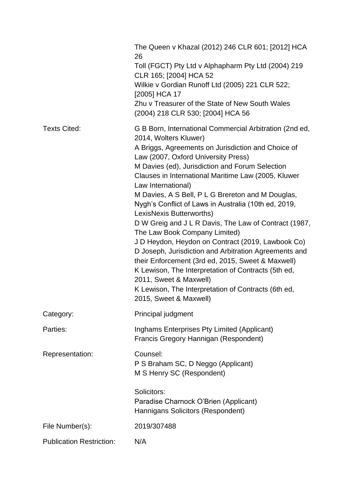|                                 | The Queen v Khazal (2012) 246 CLR 601; [2012] HCA<br>26<br>Toll (FGCT) Pty Ltd v Alphapharm Pty Ltd (2004) 219<br>CLR 165; [2004] HCA 52<br>Wilkie v Gordian Runoff Ltd (2005) 221 CLR 522;<br>[2005] HCA 17<br>Zhu v Treasurer of the State of New South Wales<br>(2004) 218 CLR 530; [2004] HCA 56                                                                                                                                                                                                                                                                                                                                                                                                                                                                                                                                                                                  |
|---------------------------------|---------------------------------------------------------------------------------------------------------------------------------------------------------------------------------------------------------------------------------------------------------------------------------------------------------------------------------------------------------------------------------------------------------------------------------------------------------------------------------------------------------------------------------------------------------------------------------------------------------------------------------------------------------------------------------------------------------------------------------------------------------------------------------------------------------------------------------------------------------------------------------------|
| <b>Texts Cited:</b>             | G B Born, International Commercial Arbitration (2nd ed,<br>2014, Wolters Kluwer)<br>A Briggs, Agreements on Jurisdiction and Choice of<br>Law (2007, Oxford University Press)<br>M Davies (ed), Jurisdiction and Forum Selection<br>Clauses in International Maritime Law (2005, Kluwer<br>Law International)<br>M Davies, A S Bell, P L G Brereton and M Douglas,<br>Nygh's Conflict of Laws in Australia (10th ed, 2019,<br>LexisNexis Butterworths)<br>D W Greig and J L R Davis, The Law of Contract (1987,<br>The Law Book Company Limited)<br>J D Heydon, Heydon on Contract (2019, Lawbook Co)<br>D Joseph, Jurisdiction and Arbitration Agreements and<br>their Enforcement (3rd ed, 2015, Sweet & Maxwell)<br>K Lewison, The Interpretation of Contracts (5th ed,<br>2011, Sweet & Maxwell)<br>K Lewison, The Interpretation of Contracts (6th ed,<br>2015, Sweet & Maxwell) |
| Category:                       | Principal judgment                                                                                                                                                                                                                                                                                                                                                                                                                                                                                                                                                                                                                                                                                                                                                                                                                                                                    |
| Parties:                        | Inghams Enterprises Pty Limited (Applicant)<br>Francis Gregory Hannigan (Respondent)                                                                                                                                                                                                                                                                                                                                                                                                                                                                                                                                                                                                                                                                                                                                                                                                  |
| Representation:                 | Counsel:<br>P S Braham SC, D Neggo (Applicant)<br>M S Henry SC (Respondent)                                                                                                                                                                                                                                                                                                                                                                                                                                                                                                                                                                                                                                                                                                                                                                                                           |
|                                 | Solicitors:<br>Paradise Charnock O'Brien (Applicant)<br>Hannigans Solicitors (Respondent)                                                                                                                                                                                                                                                                                                                                                                                                                                                                                                                                                                                                                                                                                                                                                                                             |
| File Number(s):                 | 2019/307488                                                                                                                                                                                                                                                                                                                                                                                                                                                                                                                                                                                                                                                                                                                                                                                                                                                                           |
| <b>Publication Restriction:</b> | N/A                                                                                                                                                                                                                                                                                                                                                                                                                                                                                                                                                                                                                                                                                                                                                                                                                                                                                   |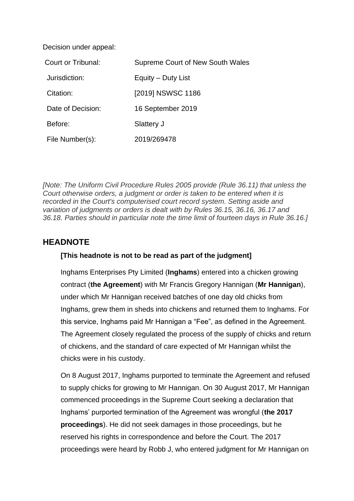Decision under appeal:

| Court or Tribunal: | Supreme Court of New South Wales |
|--------------------|----------------------------------|
| Jurisdiction:      | Equity – Duty List               |
| Citation:          | [2019] NSWSC 1186                |
| Date of Decision:  | 16 September 2019                |
| Before:            | Slattery J                       |
| File Number(s):    | 2019/269478                      |

*[Note: The Uniform Civil Procedure Rules 2005 provide (Rule 36.11) that unless the Court otherwise orders, a judgment or order is taken to be entered when it is recorded in the Court's computerised court record system. Setting aside and variation of judgments or orders is dealt with by Rules 36.15, 36.16, 36.17 and 36.18. Parties should in particular note the time limit of fourteen days in Rule 36.16.]*

## **HEADNOTE**

### **[This headnote is not to be read as part of the judgment]**

Inghams Enterprises Pty Limited (**Inghams**) entered into a chicken growing contract (**the Agreement**) with Mr Francis Gregory Hannigan (**Mr Hannigan**), under which Mr Hannigan received batches of one day old chicks from Inghams, grew them in sheds into chickens and returned them to Inghams. For this service, Inghams paid Mr Hannigan a "Fee", as defined in the Agreement. The Agreement closely regulated the process of the supply of chicks and return of chickens, and the standard of care expected of Mr Hannigan whilst the chicks were in his custody.

On 8 August 2017, Inghams purported to terminate the Agreement and refused to supply chicks for growing to Mr Hannigan. On 30 August 2017, Mr Hannigan commenced proceedings in the Supreme Court seeking a declaration that Inghams' purported termination of the Agreement was wrongful (**the 2017 proceedings**). He did not seek damages in those proceedings, but he reserved his rights in correspondence and before the Court. The 2017 proceedings were heard by Robb J, who entered judgment for Mr Hannigan on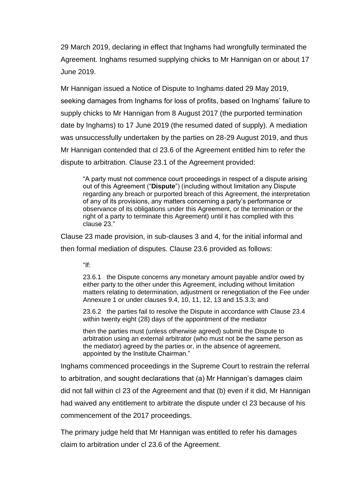29 March 2019, declaring in effect that Inghams had wrongfully terminated the Agreement. Inghams resumed supplying chicks to Mr Hannigan on or about 17 June 2019.

Mr Hannigan issued a Notice of Dispute to Inghams dated 29 May 2019, seeking damages from Inghams for loss of profits, based on Inghams' failure to supply chicks to Mr Hannigan from 8 August 2017 (the purported termination date by Inghams) to 17 June 2019 (the resumed dated of supply). A mediation was unsuccessfully undertaken by the parties on 28-29 August 2019, and thus Mr Hannigan contended that cl 23.6 of the Agreement entitled him to refer the dispute to arbitration. Clause 23.1 of the Agreement provided:

"A party must not commence court proceedings in respect of a dispute arising out of this Agreement ("**Dispute**") (including without limitation any Dispute regarding any breach or purported breach of this Agreement, the interpretation of any of its provisions, any matters concerning a party's performance or observance of its obligations under this Agreement, or the termination or the right of a party to terminate this Agreement) until it has complied with this clause 23."

Clause 23 made provision, in sub-clauses 3 and 4, for the initial informal and

then formal mediation of disputes. Clause 23.6 provided as follows:

 $"$ If:

23.6.1 the Dispute concerns any monetary amount payable and/or owed by either party to the other under this Agreement, including without limitation matters relating to determination, adjustment or renegotiation of the Fee under Annexure 1 or under clauses 9.4, 10, 11, 12, 13 and 15.3.3; and

23.6.2 the parties fail to resolve the Dispute in accordance with Clause 23.4 within twenty eight (28) days of the appointment of the mediator

then the parties must (unless otherwise agreed) submit the Dispute to arbitration using an external arbitrator (who must not be the same person as the mediator) agreed by the parties or, in the absence of agreement, appointed by the Institute Chairman."

Inghams commenced proceedings in the Supreme Court to restrain the referral to arbitration, and sought declarations that (a) Mr Hannigan's damages claim did not fall within cl 23 of the Agreement and that (b) even if it did, Mr Hannigan had waived any entitlement to arbitrate the dispute under cl 23 because of his commencement of the 2017 proceedings.

The primary judge held that Mr Hannigan was entitled to refer his damages claim to arbitration under cl 23.6 of the Agreement.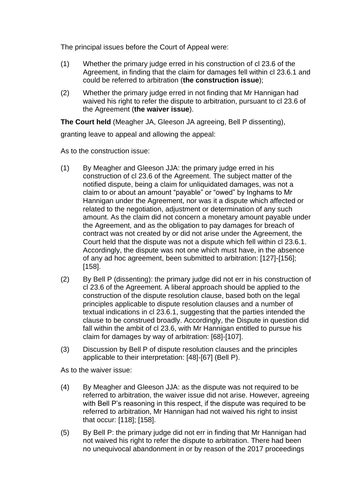The principal issues before the Court of Appeal were:

- (1) Whether the primary judge erred in his construction of cl 23.6 of the Agreement, in finding that the claim for damages fell within cl 23.6.1 and could be referred to arbitration (**the construction issue**);
- (2) Whether the primary judge erred in not finding that Mr Hannigan had waived his right to refer the dispute to arbitration, pursuant to cl 23.6 of the Agreement (**the waiver issue**).

**The Court held** (Meagher JA, Gleeson JA agreeing, Bell P dissenting),

granting leave to appeal and allowing the appeal:

As to the construction issue:

- (1) By Meagher and Gleeson JJA: the primary judge erred in his construction of cl 23.6 of the Agreement. The subject matter of the notified dispute, being a claim for unliquidated damages, was not a claim to or about an amount "payable" or "owed" by Inghams to Mr Hannigan under the Agreement, nor was it a dispute which affected or related to the negotiation, adjustment or determination of any such amount. As the claim did not concern a monetary amount payable under the Agreement, and as the obligation to pay damages for breach of contract was not created by or did not arise under the Agreement, the Court held that the dispute was not a dispute which fell within cl 23.6.1. Accordingly, the dispute was not one which must have, in the absence of any ad hoc agreement, been submitted to arbitration: [127]-[156]; [158].
- (2) By Bell P (dissenting): the primary judge did not err in his construction of cl 23.6 of the Agreement. A liberal approach should be applied to the construction of the dispute resolution clause, based both on the legal principles applicable to dispute resolution clauses and a number of textual indications in cl 23.6.1, suggesting that the parties intended the clause to be construed broadly. Accordingly, the Dispute in question did fall within the ambit of cl 23.6, with Mr Hannigan entitled to pursue his claim for damages by way of arbitration: [68]-[107].
- (3) Discussion by Bell P of dispute resolution clauses and the principles applicable to their interpretation: [48]-[67] (Bell P).

As to the waiver issue:

- (4) By Meagher and Gleeson JJA: as the dispute was not required to be referred to arbitration, the waiver issue did not arise. However, agreeing with Bell P's reasoning in this respect, if the dispute was required to be referred to arbitration, Mr Hannigan had not waived his right to insist that occur: [118]; [158].
- (5) By Bell P: the primary judge did not err in finding that Mr Hannigan had not waived his right to refer the dispute to arbitration. There had been no unequivocal abandonment in or by reason of the 2017 proceedings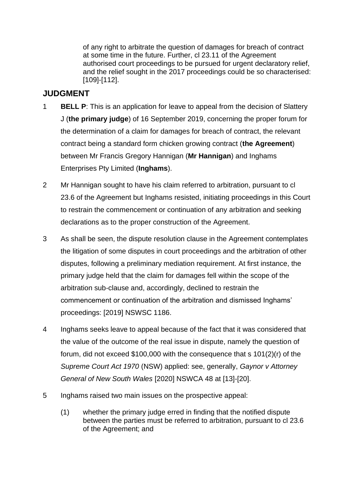of any right to arbitrate the question of damages for breach of contract at some time in the future. Further, cl 23.11 of the Agreement authorised court proceedings to be pursued for urgent declaratory relief, and the relief sought in the 2017 proceedings could be so characterised: [109]-[112].

# **JUDGMENT**

- 1 **BELL P**: This is an application for leave to appeal from the decision of Slattery J (**the primary judge**) of 16 September 2019, concerning the proper forum for the determination of a claim for damages for breach of contract, the relevant contract being a standard form chicken growing contract (**the Agreement**) between Mr Francis Gregory Hannigan (**Mr Hannigan**) and Inghams Enterprises Pty Limited (**Inghams**).
- 2 Mr Hannigan sought to have his claim referred to arbitration, pursuant to cl 23.6 of the Agreement but Inghams resisted, initiating proceedings in this Court to restrain the commencement or continuation of any arbitration and seeking declarations as to the proper construction of the Agreement.
- 3 As shall be seen, the dispute resolution clause in the Agreement contemplates the litigation of some disputes in court proceedings and the arbitration of other disputes, following a preliminary mediation requirement. At first instance, the primary judge held that the claim for damages fell within the scope of the arbitration sub-clause and, accordingly, declined to restrain the commencement or continuation of the arbitration and dismissed Inghams' proceedings: [2019] NSWSC 1186.
- 4 Inghams seeks leave to appeal because of the fact that it was considered that the value of the outcome of the real issue in dispute, namely the question of forum, did not exceed \$100,000 with the consequence that s 101(2)(r) of the *Supreme Court Act 1970* (NSW) applied: see, generally, *Gaynor v Attorney General of New South Wales* [2020] NSWCA 48 at [13]-[20].
- 5 Inghams raised two main issues on the prospective appeal:
	- (1) whether the primary judge erred in finding that the notified dispute between the parties must be referred to arbitration, pursuant to cl 23.6 of the Agreement; and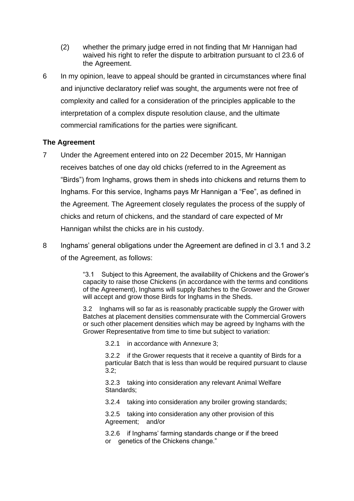- (2) whether the primary judge erred in not finding that Mr Hannigan had waived his right to refer the dispute to arbitration pursuant to cl 23.6 of the Agreement.
- 6 In my opinion, leave to appeal should be granted in circumstances where final and injunctive declaratory relief was sought, the arguments were not free of complexity and called for a consideration of the principles applicable to the interpretation of a complex dispute resolution clause, and the ultimate commercial ramifications for the parties were significant.

### **The Agreement**

- 7 Under the Agreement entered into on 22 December 2015, Mr Hannigan receives batches of one day old chicks (referred to in the Agreement as "Birds") from Inghams, grows them in sheds into chickens and returns them to Inghams. For this service, Inghams pays Mr Hannigan a "Fee", as defined in the Agreement. The Agreement closely regulates the process of the supply of chicks and return of chickens, and the standard of care expected of Mr Hannigan whilst the chicks are in his custody.
- 8 Inghams' general obligations under the Agreement are defined in cl 3.1 and 3.2 of the Agreement, as follows:

"3.1 Subject to this Agreement, the availability of Chickens and the Grower's capacity to raise those Chickens (in accordance with the terms and conditions of the Agreement), Inghams will supply Batches to the Grower and the Grower will accept and grow those Birds for Inghams in the Sheds.

3.2 Inghams will so far as is reasonably practicable supply the Grower with Batches at placement densities commensurate with the Commercial Growers or such other placement densities which may be agreed by Inghams with the Grower Representative from time to time but subject to variation:

3.2.1 in accordance with Annexure 3;

3.2.2 if the Grower requests that it receive a quantity of Birds for a particular Batch that is less than would be required pursuant to clause 3.2;

3.2.3 taking into consideration any relevant Animal Welfare Standards;

3.2.4 taking into consideration any broiler growing standards;

3.2.5 taking into consideration any other provision of this Agreement; and/or

3.2.6 if Inghams' farming standards change or if the breed or genetics of the Chickens change."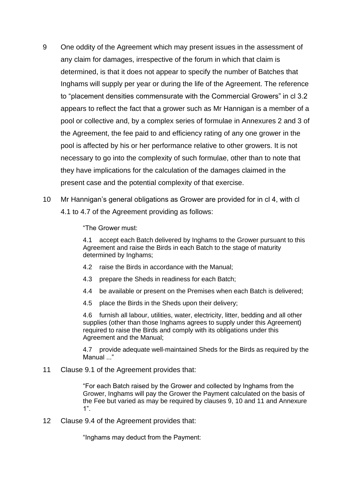- 9 One oddity of the Agreement which may present issues in the assessment of any claim for damages, irrespective of the forum in which that claim is determined, is that it does not appear to specify the number of Batches that Inghams will supply per year or during the life of the Agreement. The reference to "placement densities commensurate with the Commercial Growers" in cl 3.2 appears to reflect the fact that a grower such as Mr Hannigan is a member of a pool or collective and, by a complex series of formulae in Annexures 2 and 3 of the Agreement, the fee paid to and efficiency rating of any one grower in the pool is affected by his or her performance relative to other growers. It is not necessary to go into the complexity of such formulae, other than to note that they have implications for the calculation of the damages claimed in the present case and the potential complexity of that exercise.
- 10 Mr Hannigan's general obligations as Grower are provided for in cl 4, with cl 4.1 to 4.7 of the Agreement providing as follows:

"The Grower must:

4.1 accept each Batch delivered by Inghams to the Grower pursuant to this Agreement and raise the Birds in each Batch to the stage of maturity determined by Inghams;

- 4.2 raise the Birds in accordance with the Manual;
- 4.3 prepare the Sheds in readiness for each Batch;
- 4.4 be available or present on the Premises when each Batch is delivered;
- 4.5 place the Birds in the Sheds upon their delivery;

4.6 furnish all labour, utilities, water, electricity, litter, bedding and all other supplies (other than those Inghams agrees to supply under this Agreement) required to raise the Birds and comply with its obligations under this Agreement and the Manual;

4.7 provide adequate well-maintained Sheds for the Birds as required by the Manual ..."

11 Clause 9.1 of the Agreement provides that:

"For each Batch raised by the Grower and collected by Inghams from the Grower, Inghams will pay the Grower the Payment calculated on the basis of the Fee but varied as may be required by clauses 9, 10 and 11 and Annexure 1".

12 Clause 9.4 of the Agreement provides that:

"Inghams may deduct from the Payment: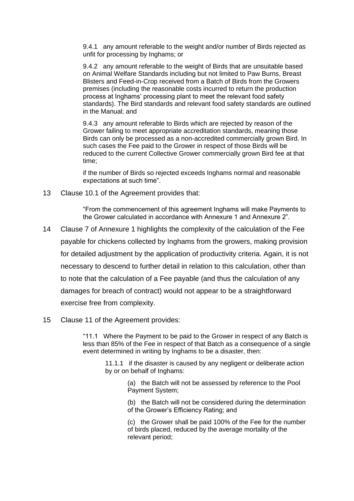9.4.1 any amount referable to the weight and/or number of Birds rejected as unfit for processing by Inghams; or

9.4.2 any amount referable to the weight of Birds that are unsuitable based on Animal Welfare Standards including but not limited to Paw Burns, Breast Blisters and Feed-in-Crop received from a Batch of Birds from the Growers premises (including the reasonable costs incurred to return the production process at Inghams' processing plant to meet the relevant food safety standards). The Bird standards and relevant food safety standards are outlined in the Manual; and

9.4.3 any amount referable to Birds which are rejected by reason of the Grower failing to meet appropriate accreditation standards, meaning those Birds can only be processed as a non-accredited commercially grown Bird. In such cases the Fee paid to the Grower in respect of those Birds will be reduced to the current Collective Grower commercially grown Bird fee at that time;

if the number of Birds so rejected exceeds Inghams normal and reasonable expectations at such time".

13 Clause 10.1 of the Agreement provides that:

"From the commencement of this agreement Inghams will make Payments to the Grower calculated in accordance with Annexure 1 and Annexure 2".

- 14 Clause 7 of Annexure 1 highlights the complexity of the calculation of the Fee payable for chickens collected by Inghams from the growers, making provision for detailed adjustment by the application of productivity criteria. Again, it is not necessary to descend to further detail in relation to this calculation, other than to note that the calculation of a Fee payable (and thus the calculation of any damages for breach of contract) would not appear to be a straightforward exercise free from complexity.
- 15 Clause 11 of the Agreement provides:

"11.1 Where the Payment to be paid to the Grower in respect of any Batch is less than 85% of the Fee in respect of that Batch as a consequence of a single event determined in writing by Inghams to be a disaster, then:

11.1.1 if the disaster is caused by any negligent or deliberate action by or on behalf of Inghams:

> (a) the Batch will not be assessed by reference to the Pool Payment System;

(b) the Batch will not be considered during the determination of the Grower's Efficiency Rating; and

(c) the Grower shall be paid 100% of the Fee for the number of birds placed, reduced by the average mortality of the relevant period;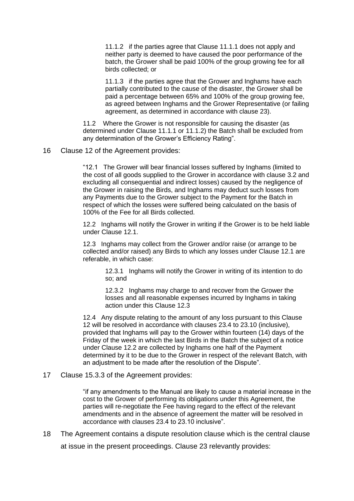11.1.2 if the parties agree that Clause 11.1.1 does not apply and neither party is deemed to have caused the poor performance of the batch, the Grower shall be paid 100% of the group growing fee for all birds collected; or

11.1.3 if the parties agree that the Grower and Inghams have each partially contributed to the cause of the disaster, the Grower shall be paid a percentage between 65% and 100% of the group growing fee, as agreed between Inghams and the Grower Representative (or failing agreement, as determined in accordance with clause 23).

11.2 Where the Grower is not responsible for causing the disaster (as determined under Clause 11.1.1 or 11.1.2) the Batch shall be excluded from any determination of the Grower's Efficiency Rating".

16 Clause 12 of the Agreement provides:

"12.1 The Grower will bear financial losses suffered by Inghams (limited to the cost of all goods supplied to the Grower in accordance with clause 3.2 and excluding all consequential and indirect losses) caused by the negligence of the Grower in raising the Birds, and Inghams may deduct such losses from any Payments due to the Grower subject to the Payment for the Batch in respect of which the losses were suffered being calculated on the basis of 100% of the Fee for all Birds collected.

12.2 Inghams will notify the Grower in writing if the Grower is to be held liable under Clause 12.1.

12.3 Inghams may collect from the Grower and/or raise (or arrange to be collected and/or raised) any Birds to which any losses under Clause 12.1 are referable, in which case:

12.3.1 Inghams will notify the Grower in writing of its intention to do so; and

12.3.2 Inghams may charge to and recover from the Grower the losses and all reasonable expenses incurred by Inghams in taking action under this Clause 12.3

12.4 Any dispute relating to the amount of any loss pursuant to this Clause 12 will be resolved in accordance with clauses 23.4 to 23.10 (inclusive), provided that Inghams will pay to the Grower within fourteen (14) days of the Friday of the week in which the last Birds in the Batch the subject of a notice under Clause 12.2 are collected by Inghams one half of the Payment determined by it to be due to the Grower in respect of the relevant Batch, with an adjustment to be made after the resolution of the Dispute".

17 Clause 15.3.3 of the Agreement provides:

"if any amendments to the Manual are likely to cause a material increase in the cost to the Grower of performing its obligations under this Agreement, the parties will re-negotiate the Fee having regard to the effect of the relevant amendments and in the absence of agreement the matter will be resolved in accordance with clauses 23.4 to 23.10 inclusive".

18 The Agreement contains a dispute resolution clause which is the central clause

at issue in the present proceedings. Clause 23 relevantly provides: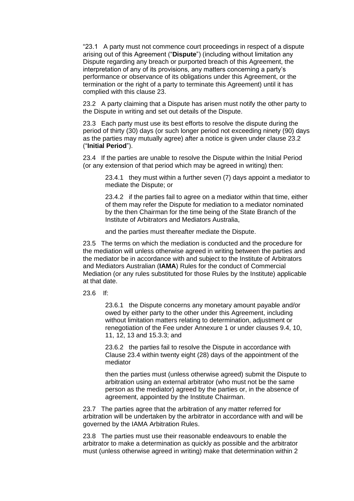"23.1 A party must not commence court proceedings in respect of a dispute arising out of this Agreement ("**Dispute**") (including without limitation any Dispute regarding any breach or purported breach of this Agreement, the interpretation of any of its provisions, any matters concerning a party's performance or observance of its obligations under this Agreement, or the termination or the right of a party to terminate this Agreement) until it has complied with this clause 23.

23.2 A party claiming that a Dispute has arisen must notify the other party to the Dispute in writing and set out details of the Dispute.

23.3 Each party must use its best efforts to resolve the dispute during the period of thirty (30) days (or such longer period not exceeding ninety (90) days as the parties may mutually agree) after a notice is given under clause 23.2 ("**Initial Period**").

23.4 If the parties are unable to resolve the Dispute within the Initial Period (or any extension of that period which may be agreed in writing) then:

23.4.1 they must within a further seven (7) days appoint a mediator to mediate the Dispute; or

23.4.2 if the parties fail to agree on a mediator within that time, either of them may refer the Dispute for mediation to a mediator nominated by the then Chairman for the time being of the State Branch of the Institute of Arbitrators and Mediators Australia,

and the parties must thereafter mediate the Dispute.

23.5 The terms on which the mediation is conducted and the procedure for the mediation will unless otherwise agreed in writing between the parties and the mediator be in accordance with and subject to the Institute of Arbitrators and Mediators Australian (**IAMA**) Rules for the conduct of Commercial Mediation (or any rules substituted for those Rules by the Institute) applicable at that date.

23.6 If:

23.6.1 the Dispute concerns any monetary amount payable and/or owed by either party to the other under this Agreement, including without limitation matters relating to determination, adjustment or renegotiation of the Fee under Annexure 1 or under clauses 9.4, 10, 11, 12, 13 and 15.3.3; and

23.6.2 the parties fail to resolve the Dispute in accordance with Clause 23.4 within twenty eight (28) days of the appointment of the mediator

then the parties must (unless otherwise agreed) submit the Dispute to arbitration using an external arbitrator (who must not be the same person as the mediator) agreed by the parties or, in the absence of agreement, appointed by the Institute Chairman.

23.7 The parties agree that the arbitration of any matter referred for arbitration will be undertaken by the arbitrator in accordance with and will be governed by the IAMA Arbitration Rules.

23.8 The parties must use their reasonable endeavours to enable the arbitrator to make a determination as quickly as possible and the arbitrator must (unless otherwise agreed in writing) make that determination within 2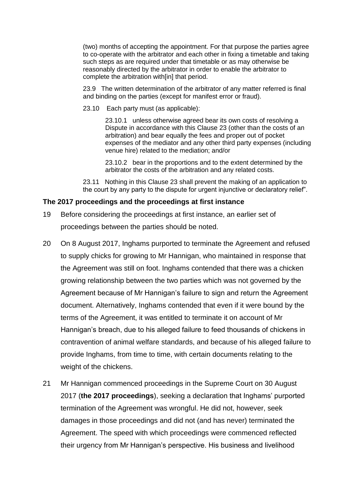(two) months of accepting the appointment. For that purpose the parties agree to co-operate with the arbitrator and each other in fixing a timetable and taking such steps as are required under that timetable or as may otherwise be reasonably directed by the arbitrator in order to enable the arbitrator to complete the arbitration with[in] that period.

23.9 The written determination of the arbitrator of any matter referred is final and binding on the parties (except for manifest error or fraud).

23.10 Each party must (as applicable):

23.10.1 unless otherwise agreed bear its own costs of resolving a Dispute in accordance with this Clause 23 (other than the costs of an arbitration) and bear equally the fees and proper out of pocket expenses of the mediator and any other third party expenses (including venue hire) related to the mediation; and/or

23.10.2 bear in the proportions and to the extent determined by the arbitrator the costs of the arbitration and any related costs.

23.11 Nothing in this Clause 23 shall prevent the making of an application to the court by any party to the dispute for urgent injunctive or declaratory relief".

#### **The 2017 proceedings and the proceedings at first instance**

- 19 Before considering the proceedings at first instance, an earlier set of proceedings between the parties should be noted.
- 20 On 8 August 2017, Inghams purported to terminate the Agreement and refused to supply chicks for growing to Mr Hannigan, who maintained in response that the Agreement was still on foot. Inghams contended that there was a chicken growing relationship between the two parties which was not governed by the Agreement because of Mr Hannigan's failure to sign and return the Agreement document. Alternatively, Inghams contended that even if it were bound by the terms of the Agreement, it was entitled to terminate it on account of Mr Hannigan's breach, due to his alleged failure to feed thousands of chickens in contravention of animal welfare standards, and because of his alleged failure to provide Inghams, from time to time, with certain documents relating to the weight of the chickens.
- 21 Mr Hannigan commenced proceedings in the Supreme Court on 30 August 2017 (**the 2017 proceedings**), seeking a declaration that Inghams' purported termination of the Agreement was wrongful. He did not, however, seek damages in those proceedings and did not (and has never) terminated the Agreement. The speed with which proceedings were commenced reflected their urgency from Mr Hannigan's perspective. His business and livelihood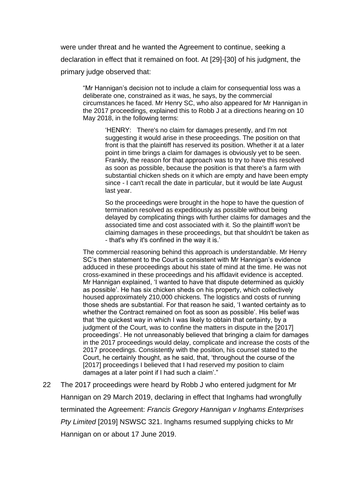were under threat and he wanted the Agreement to continue, seeking a declaration in effect that it remained on foot. At [29]-[30] of his judgment, the primary judge observed that:

"Mr Hannigan's decision not to include a claim for consequential loss was a deliberate one, constrained as it was, he says, by the commercial circumstances he faced. Mr Henry SC, who also appeared for Mr Hannigan in the 2017 proceedings, explained this to Robb J at a directions hearing on 10 May 2018, in the following terms:

'HENRY: There's no claim for damages presently, and I'm not suggesting it would arise in these proceedings. The position on that front is that the plaintiff has reserved its position. Whether it at a later point in time brings a claim for damages is obviously yet to be seen. Frankly, the reason for that approach was to try to have this resolved as soon as possible, because the position is that there's a farm with substantial chicken sheds on it which are empty and have been empty since - I can't recall the date in particular, but it would be late August last year.

So the proceedings were brought in the hope to have the question of termination resolved as expeditiously as possible without being delayed by complicating things with further claims for damages and the associated time and cost associated with it. So the plaintiff won't be claiming damages in these proceedings, but that shouldn't be taken as - that's why it's confined in the way it is.'

The commercial reasoning behind this approach is understandable. Mr Henry SC's then statement to the Court is consistent with Mr Hannigan's evidence adduced in these proceedings about his state of mind at the time. He was not cross-examined in these proceedings and his affidavit evidence is accepted. Mr Hannigan explained, 'I wanted to have that dispute determined as quickly as possible'. He has six chicken sheds on his property, which collectively housed approximately 210,000 chickens. The logistics and costs of running those sheds are substantial. For that reason he said, 'I wanted certainty as to whether the Contract remained on foot as soon as possible'. His belief was that 'the quickest way in which I was likely to obtain that certainty, by a judgment of the Court, was to confine the matters in dispute in the [2017] proceedings'. He not unreasonably believed that bringing a claim for damages in the 2017 proceedings would delay, complicate and increase the costs of the 2017 proceedings. Consistently with the position, his counsel stated to the Court, he certainly thought, as he said, that, 'throughout the course of the [2017] proceedings I believed that I had reserved my position to claim damages at a later point if I had such a claim'."

22 The 2017 proceedings were heard by Robb J who entered judgment for Mr Hannigan on 29 March 2019, declaring in effect that Inghams had wrongfully terminated the Agreement: *Francis Gregory Hannigan v Inghams Enterprises Pty Limited* [2019] NSWSC 321. Inghams resumed supplying chicks to Mr Hannigan on or about 17 June 2019.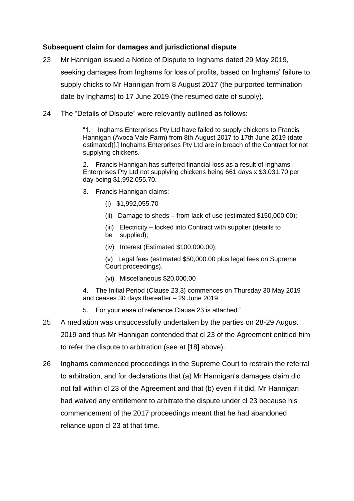### **Subsequent claim for damages and jurisdictional dispute**

- 23 Mr Hannigan issued a Notice of Dispute to Inghams dated 29 May 2019, seeking damages from Inghams for loss of profits, based on Inghams' failure to supply chicks to Mr Hannigan from 8 August 2017 (the purported termination date by Inghams) to 17 June 2019 (the resumed date of supply).
- 24 The "Details of Dispute" were relevantly outlined as follows:

"1. Inghams Enterprises Pty Ltd have failed to supply chickens to Francis Hannigan (Avoca Vale Farm) from 8th August 2017 to 17th June 2019 (date estimated)[.] Inghams Enterprises Pty Ltd are in breach of the Contract for not supplying chickens.

2. Francis Hannigan has suffered financial loss as a result of Inghams Enterprises Pty Ltd not supplying chickens being 661 days x \$3,031.70 per day being \$1,992,055.70.

- 3. Francis Hannigan claims:-
	- (i) \$1,992,055.70
	- (ii) Damage to sheds from lack of use (estimated \$150,000.00);
	- (iii) Electricity locked into Contract with supplier (details to be supplied);
	- (iv) Interest (Estimated \$100,000.00);

(v) Legal fees (estimated \$50,000.00 plus legal fees on Supreme Court proceedings).

(vi) Miscellaneous \$20,000.00

4. The Initial Period (Clause 23.3) commences on Thursday 30 May 2019 and ceases 30 days thereafter – 29 June 2019.

- 5. For your ease of reference Clause 23 is attached."
- 25 A mediation was unsuccessfully undertaken by the parties on 28-29 August 2019 and thus Mr Hannigan contended that cl 23 of the Agreement entitled him to refer the dispute to arbitration (see at [18] above).
- 26 Inghams commenced proceedings in the Supreme Court to restrain the referral to arbitration, and for declarations that (a) Mr Hannigan's damages claim did not fall within cl 23 of the Agreement and that (b) even if it did, Mr Hannigan had waived any entitlement to arbitrate the dispute under cl 23 because his commencement of the 2017 proceedings meant that he had abandoned reliance upon cl 23 at that time.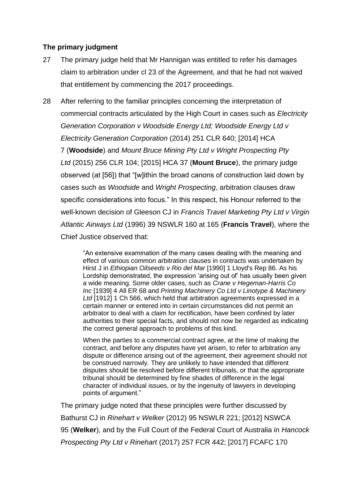### **The primary judgment**

- 27 The primary judge held that Mr Hannigan was entitled to refer his damages claim to arbitration under cl 23 of the Agreement, and that he had not waived that entitlement by commencing the 2017 proceedings.
- 28 After referring to the familiar principles concerning the interpretation of commercial contracts articulated by the High Court in cases such as *Electricity Generation Corporation v Woodside Energy Ltd; Woodside Energy Ltd v Electricity Generation Corporation* (2014) 251 CLR 640; [2014] HCA 7 (**Woodside**) and *Mount Bruce Mining Pty Ltd v Wright Prospecting Pty Ltd* (2015) 256 CLR 104; [2015] HCA 37 (**Mount Bruce**), the primary judge observed (at [56]) that "[w]ithin the broad canons of construction laid down by cases such as *Woodside* and *Wright Prospecting*, arbitration clauses draw specific considerations into focus." In this respect, his Honour referred to the well-known decision of Gleeson CJ in *Francis Travel Marketing Pty Ltd v Virgin Atlantic Airways Ltd* (1996) 39 NSWLR 160 at 165 (**Francis Travel**), where the Chief Justice observed that:

"An extensive examination of the many cases dealing with the meaning and effect of various common arbitration clauses in contracts was undertaken by Hirst J in *Ethiopian Oilseeds v Rio del Mar* [1990] 1 Lloyd's Rep 86. As his Lordship demonstrated, the expression 'arising out of' has usually been given a wide meaning. Some older cases, such as *Crane v Hegeman-Harris Co Inc* [1939] 4 All ER 68 and *Printing Machinery Co Ltd v Linotype & Machinery Ltd* [1912] 1 Ch 566, which held that arbitration agreements expressed in a certain manner or entered into in certain circumstances did not permit an arbitrator to deal with a claim for rectification, have been confined by later authorities to their special facts, and should not now be regarded as indicating the correct general approach to problems of this kind.

When the parties to a commercial contract agree, at the time of making the contract, and before any disputes have yet arisen, to refer to arbitration any dispute or difference arising out of the agreement, their agreement should not be construed narrowly. They are unlikely to have intended that different disputes should be resolved before different tribunals, or that the appropriate tribunal should be determined by fine shades of difference in the legal character of individual issues, or by the ingenuity of lawyers in developing points of argument."

The primary judge noted that these principles were further discussed by Bathurst CJ in *Rinehart v Welker* (2012) 95 NSWLR 221; [2012] NSWCA 95 (**Welker**), and by the Full Court of the Federal Court of Australia in *Hancock Prospecting Pty Ltd v Rinehart* (2017) 257 FCR 442; [2017] FCAFC 170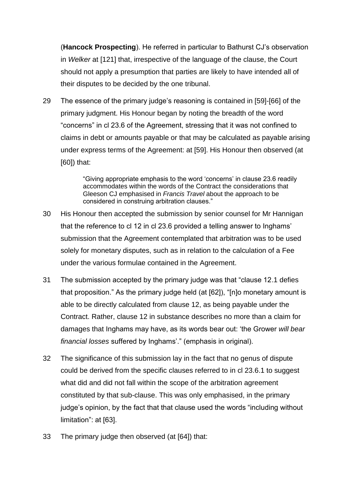(**Hancock Prospecting**). He referred in particular to Bathurst CJ's observation in *Welker* at [121] that, irrespective of the language of the clause, the Court should not apply a presumption that parties are likely to have intended all of their disputes to be decided by the one tribunal.

29 The essence of the primary judge's reasoning is contained in [59]-[66] of the primary judgment. His Honour began by noting the breadth of the word "concerns" in cl 23.6 of the Agreement, stressing that it was not confined to claims in debt or amounts payable or that may be calculated as payable arising under express terms of the Agreement: at [59]. His Honour then observed (at [60]) that:

> "Giving appropriate emphasis to the word 'concerns' in clause 23.6 readily accommodates within the words of the Contract the considerations that Gleeson CJ emphasised in *Francis Travel* about the approach to be considered in construing arbitration clauses."

- 30 His Honour then accepted the submission by senior counsel for Mr Hannigan that the reference to cl 12 in cl 23.6 provided a telling answer to Inghams' submission that the Agreement contemplated that arbitration was to be used solely for monetary disputes, such as in relation to the calculation of a Fee under the various formulae contained in the Agreement.
- 31 The submission accepted by the primary judge was that "clause 12.1 defies that proposition." As the primary judge held (at [62]), "[n]o monetary amount is able to be directly calculated from clause 12, as being payable under the Contract. Rather, clause 12 in substance describes no more than a claim for damages that Inghams may have, as its words bear out: 'the Grower *will bear financial losses* suffered by Inghams'." (emphasis in original).
- 32 The significance of this submission lay in the fact that no genus of dispute could be derived from the specific clauses referred to in cl 23.6.1 to suggest what did and did not fall within the scope of the arbitration agreement constituted by that sub-clause. This was only emphasised, in the primary judge's opinion, by the fact that that clause used the words "including without limitation": at [63].
- 33 The primary judge then observed (at [64]) that: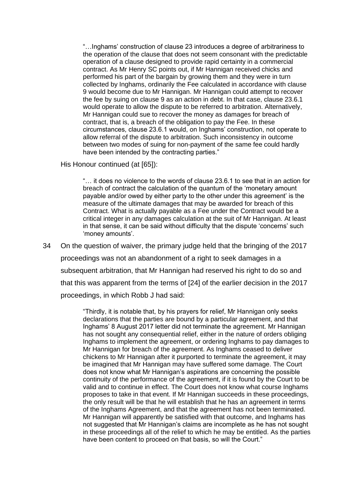"…Inghams' construction of clause 23 introduces a degree of arbitrariness to the operation of the clause that does not seem consonant with the predictable operation of a clause designed to provide rapid certainty in a commercial contract. As Mr Henry SC points out, if Mr Hannigan received chicks and performed his part of the bargain by growing them and they were in turn collected by Inghams, ordinarily the Fee calculated in accordance with clause 9 would become due to Mr Hannigan. Mr Hannigan could attempt to recover the fee by suing on clause 9 as an action in debt. In that case, clause 23.6.1 would operate to allow the dispute to be referred to arbitration. Alternatively, Mr Hannigan could sue to recover the money as damages for breach of contract, that is, a breach of the obligation to pay the Fee. In these circumstances, clause 23.6.1 would, on Inghams' construction, not operate to allow referral of the dispute to arbitration. Such inconsistency in outcome between two modes of suing for non-payment of the same fee could hardly have been intended by the contracting parties."

His Honour continued (at [65]):

"… it does no violence to the words of clause 23.6.1 to see that in an action for breach of contract the calculation of the quantum of the 'monetary amount payable and/or owed by either party to the other under this agreement' is the measure of the ultimate damages that may be awarded for breach of this Contract. What is actually payable as a Fee under the Contract would be a critical integer in any damages calculation at the suit of Mr Hannigan. At least in that sense, it can be said without difficulty that the dispute 'concerns' such 'money amounts'.

34 On the question of waiver, the primary judge held that the bringing of the 2017 proceedings was not an abandonment of a right to seek damages in a subsequent arbitration, that Mr Hannigan had reserved his right to do so and that this was apparent from the terms of [24] of the earlier decision in the 2017 proceedings, in which Robb J had said:

> "Thirdly, it is notable that, by his prayers for relief, Mr Hannigan only seeks declarations that the parties are bound by a particular agreement, and that Inghams' 8 August 2017 letter did not terminate the agreement. Mr Hannigan has not sought any consequential relief, either in the nature of orders obliging Inghams to implement the agreement, or ordering Inghams to pay damages to Mr Hannigan for breach of the agreement. As Inghams ceased to deliver chickens to Mr Hannigan after it purported to terminate the agreement, it may be imagined that Mr Hannigan may have suffered some damage. The Court does not know what Mr Hannigan's aspirations are concerning the possible continuity of the performance of the agreement, if it is found by the Court to be valid and to continue in effect. The Court does not know what course Inghams proposes to take in that event. If Mr Hannigan succeeds in these proceedings, the only result will be that he will establish that he has an agreement in terms of the Inghams Agreement, and that the agreement has not been terminated. Mr Hannigan will apparently be satisfied with that outcome, and Inghams has not suggested that Mr Hannigan's claims are incomplete as he has not sought in these proceedings all of the relief to which he may be entitled. As the parties have been content to proceed on that basis, so will the Court."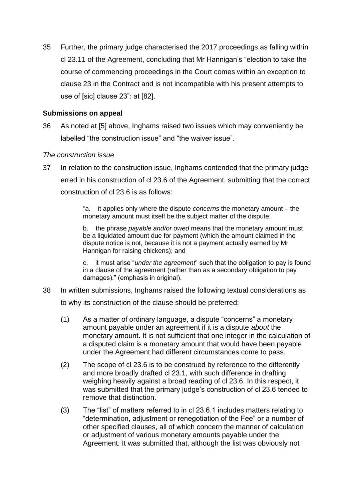35 Further, the primary judge characterised the 2017 proceedings as falling within cl 23.11 of the Agreement, concluding that Mr Hannigan's "election to take the course of commencing proceedings in the Court comes within an exception to clause 23 in the Contract and is not incompatible with his present attempts to use of [sic] clause 23": at [82].

#### **Submissions on appeal**

36 As noted at [5] above, Inghams raised two issues which may conveniently be labelled "the construction issue" and "the waiver issue".

#### *The construction issue*

37 In relation to the construction issue, Inghams contended that the primary judge erred in his construction of cl 23.6 of the Agreement, submitting that the correct construction of cl 23.6 is as follows:

> "a. it applies only where the dispute *concerns* the monetary amount – the monetary amount must itself be the subject matter of the dispute;

b. the phrase *payable and/or owed* means that the monetary amount must be a liquidated amount due for payment (which the amount claimed in the dispute notice is not, because it is not a payment actually earned by Mr Hannigan for raising chickens); and

c. it must arise "*under the agreement*" such that the obligation to pay is found in a clause of the agreement (rather than as a secondary obligation to pay damages)." (emphasis in original).

- 38 In written submissions, Inghams raised the following textual considerations as to why its construction of the clause should be preferred:
	- (1) As a matter of ordinary language, a dispute "concerns" a monetary amount payable under an agreement if it is a dispute *about* the monetary amount. It is not sufficient that one integer in the calculation of a disputed claim is a monetary amount that would have been payable under the Agreement had different circumstances come to pass.
	- (2) The scope of cl 23.6 is to be construed by reference to the differently and more broadly drafted cl 23.1, with such difference in drafting weighing heavily against a broad reading of cl 23.6. In this respect, it was submitted that the primary judge's construction of cl 23.6 tended to remove that distinction.
	- (3) The "list" of matters referred to in cl 23.6.1 includes matters relating to "determination, adjustment or renegotiation of the Fee" or a number of other specified clauses, all of which concern the manner of calculation or adjustment of various monetary amounts payable under the Agreement. It was submitted that, although the list was obviously not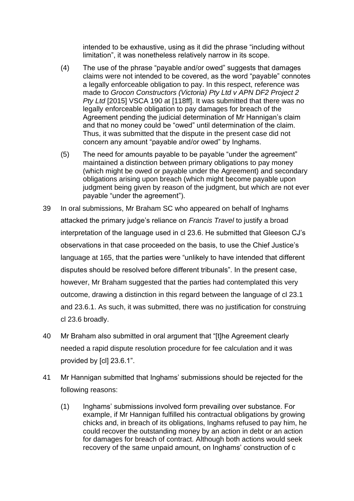intended to be exhaustive, using as it did the phrase "including without limitation", it was nonetheless relatively narrow in its scope.

- (4) The use of the phrase "payable and/or owed" suggests that damages claims were not intended to be covered, as the word "payable" connotes a legally enforceable obligation to pay. In this respect, reference was made to *Grocon Constructors (Victoria) Pty Ltd v APN DF2 Project 2 Pty Ltd* [2015] VSCA 190 at [118ff]. It was submitted that there was no legally enforceable obligation to pay damages for breach of the Agreement pending the judicial determination of Mr Hannigan's claim and that no money could be "owed" until determination of the claim. Thus, it was submitted that the dispute in the present case did not concern any amount "payable and/or owed" by Inghams.
- (5) The need for amounts payable to be payable "under the agreement" maintained a distinction between primary obligations to pay money (which might be owed or payable under the Agreement) and secondary obligations arising upon breach (which might become payable upon judgment being given by reason of the judgment, but which are not ever payable "under the agreement").
- 39 In oral submissions, Mr Braham SC who appeared on behalf of Inghams attacked the primary judge's reliance on *Francis Travel* to justify a broad interpretation of the language used in cl 23.6. He submitted that Gleeson CJ's observations in that case proceeded on the basis, to use the Chief Justice's language at 165, that the parties were "unlikely to have intended that different disputes should be resolved before different tribunals". In the present case, however, Mr Braham suggested that the parties had contemplated this very outcome, drawing a distinction in this regard between the language of cl 23.1 and 23.6.1. As such, it was submitted, there was no justification for construing cl 23.6 broadly.
- 40 Mr Braham also submitted in oral argument that "[t]he Agreement clearly needed a rapid dispute resolution procedure for fee calculation and it was provided by [cl] 23.6.1".
- 41 Mr Hannigan submitted that Inghams' submissions should be rejected for the following reasons:
	- (1) Inghams' submissions involved form prevailing over substance. For example, if Mr Hannigan fulfilled his contractual obligations by growing chicks and, in breach of its obligations, Inghams refused to pay him, he could recover the outstanding money by an action in debt or an action for damages for breach of contract. Although both actions would seek recovery of the same unpaid amount, on Inghams' construction of c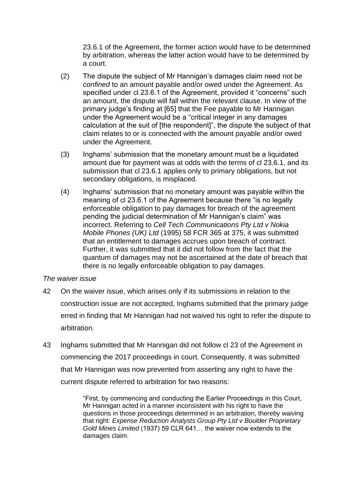23.6.1 of the Agreement, the former action would have to be determined by arbitration, whereas the latter action would have to be determined by a court.

- (2) The dispute the subject of Mr Hannigan's damages claim need not be *confined* to an amount payable and/or owed under the Agreement. As specified under cl 23.6.1 of the Agreement, provided it "concerns" such an amount, the dispute will fall within the relevant clause. In view of the primary judge's finding at [65] that the Fee payable to Mr Hannigan under the Agreement would be a "critical integer in any damages calculation at the suit of [the respondent]", the dispute the subject of that claim relates to or is connected with the amount payable and/or owed under the Agreement.
- (3) Inghams' submission that the monetary amount must be a liquidated amount due for payment was at odds with the terms of cl 23.6.1, and its submission that cl 23.6.1 applies only to primary obligations, but not secondary obligations, is misplaced.
- (4) Inghams' submission that no monetary amount was payable within the meaning of cl 23.6.1 of the Agreement because there "is no legally enforceable obligation to pay damages for breach of the agreement pending the judicial determination of Mr Hannigan's claim" was incorrect. Referring to *Cell Tech Communications Pty Ltd v Nokia Mobile Phones (UK) Ltd* (1995) 58 FCR 365 at 375, it was submitted that an entitlement to damages accrues upon breach of contract. Further, it was submitted that it did not follow from the fact that the quantum of damages may not be ascertained at the date of breach that there is no legally enforceable obligation to pay damages.

#### *The waiver issue*

- 42 On the waiver issue, which arises only if its submissions in relation to the construction issue are not accepted, Inghams submitted that the primary judge erred in finding that Mr Hannigan had not waived his right to refer the dispute to arbitration.
- 43 Inghams submitted that Mr Hannigan did not follow cl 23 of the Agreement in commencing the 2017 proceedings in court. Consequently, it was submitted that Mr Hannigan was now prevented from asserting any right to have the current dispute referred to arbitration for two reasons:

"First, by commencing and conducting the Earlier Proceedings in this Court, Mr Hannigan acted in a manner inconsistent with his right to have the questions in those proceedings determined in an arbitration, thereby waiving that right: *Expense Reduction Analysts Group Pty Ltd v Boulder Proprietary Gold Mines Limited* (1937) 59 CLR 641… the waiver now extends to the damages claim.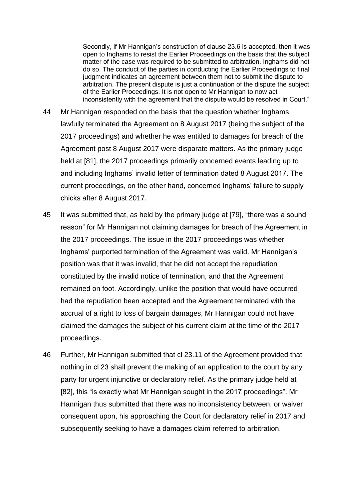Secondly, if Mr Hannigan's construction of clause 23.6 is accepted, then it was open to Inghams to resist the Earlier Proceedings on the basis that the subject matter of the case was required to be submitted to arbitration. Inghams did not do so. The conduct of the parties in conducting the Earlier Proceedings to final judgment indicates an agreement between them not to submit the dispute to arbitration. The present dispute is just a continuation of the dispute the subject of the Earlier Proceedings. It is not open to Mr Hannigan to now act inconsistently with the agreement that the dispute would be resolved in Court."

- 44 Mr Hannigan responded on the basis that the question whether Inghams lawfully terminated the Agreement on 8 August 2017 (being the subject of the 2017 proceedings) and whether he was entitled to damages for breach of the Agreement post 8 August 2017 were disparate matters. As the primary judge held at [81], the 2017 proceedings primarily concerned events leading up to and including Inghams' invalid letter of termination dated 8 August 2017. The current proceedings, on the other hand, concerned Inghams' failure to supply chicks after 8 August 2017.
- 45 It was submitted that, as held by the primary judge at [79], "there was a sound reason" for Mr Hannigan not claiming damages for breach of the Agreement in the 2017 proceedings. The issue in the 2017 proceedings was whether Inghams' purported termination of the Agreement was valid. Mr Hannigan's position was that it was invalid, that he did not accept the repudiation constituted by the invalid notice of termination, and that the Agreement remained on foot. Accordingly, unlike the position that would have occurred had the repudiation been accepted and the Agreement terminated with the accrual of a right to loss of bargain damages, Mr Hannigan could not have claimed the damages the subject of his current claim at the time of the 2017 proceedings.
- 46 Further, Mr Hannigan submitted that cl 23.11 of the Agreement provided that nothing in cl 23 shall prevent the making of an application to the court by any party for urgent injunctive or declaratory relief. As the primary judge held at [82], this "is exactly what Mr Hannigan sought in the 2017 proceedings". Mr Hannigan thus submitted that there was no inconsistency between, or waiver consequent upon, his approaching the Court for declaratory relief in 2017 and subsequently seeking to have a damages claim referred to arbitration.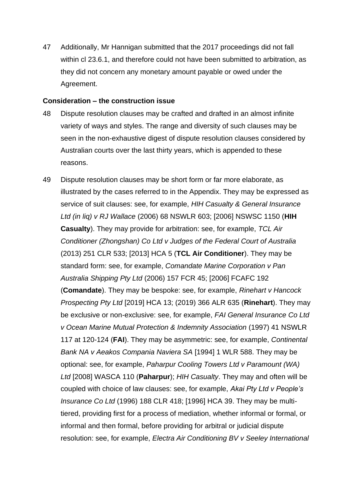47 Additionally, Mr Hannigan submitted that the 2017 proceedings did not fall within cl 23.6.1, and therefore could not have been submitted to arbitration, as they did not concern any monetary amount payable or owed under the Agreement.

#### **Consideration – the construction issue**

- 48 Dispute resolution clauses may be crafted and drafted in an almost infinite variety of ways and styles. The range and diversity of such clauses may be seen in the non-exhaustive digest of dispute resolution clauses considered by Australian courts over the last thirty years, which is appended to these reasons.
- 49 Dispute resolution clauses may be short form or far more elaborate, as illustrated by the cases referred to in the Appendix. They may be expressed as service of suit clauses: see, for example, *HIH Casualty & General Insurance Ltd (in liq) v RJ Wallace* (2006) 68 NSWLR 603; [2006] NSWSC 1150 (**HIH Casualty**). They may provide for arbitration: see, for example, *TCL Air Conditioner (Zhongshan) Co Ltd v Judges of the Federal Court of Australia* (2013) 251 CLR 533; [2013] HCA 5 (**TCL Air Conditioner**). They may be standard form: see, for example, *Comandate Marine Corporation v Pan Australia Shipping Pty Ltd* (2006) 157 FCR 45; [2006] FCAFC 192 (**Comandate**). They may be bespoke: see, for example, *Rinehart v Hancock Prospecting Pty Ltd* [2019] HCA 13; (2019) 366 ALR 635 (**Rinehart**). They may be exclusive or non-exclusive: see, for example, *FAI General Insurance Co Ltd v Ocean Marine Mutual Protection & Indemnity Association* (1997) 41 NSWLR 117 at 120-124 (**FAI**). They may be asymmetric: see, for example, *Continental Bank NA v Aeakos Compania Naviera SA* [1994] 1 WLR 588. They may be optional: see, for example, *Paharpur Cooling Towers Ltd v Paramount (WA) Ltd* [2008] WASCA 110 (**Paharpur**); *HIH Casualty*. They may and often will be coupled with choice of law clauses: see, for example, *Akai Pty Ltd v People's Insurance Co Ltd* (1996) 188 CLR 418; [1996] HCA 39. They may be multitiered, providing first for a process of mediation, whether informal or formal, or informal and then formal, before providing for arbitral or judicial dispute resolution: see, for example, *Electra Air Conditioning BV v Seeley International*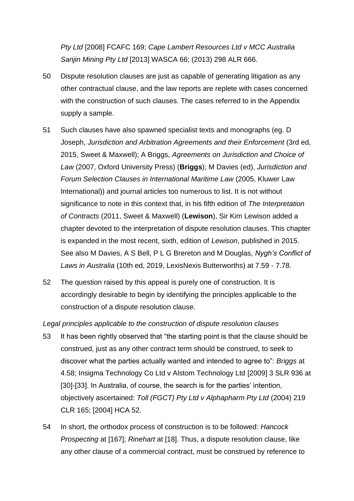*Pty Ltd* [2008] FCAFC 169; *Cape Lambert Resources Ltd v MCC Australia Sanjin Mining Pty Ltd* [2013] WASCA 66; (2013) 298 ALR 666.

- 50 Dispute resolution clauses are just as capable of generating litigation as any other contractual clause, and the law reports are replete with cases concerned with the construction of such clauses. The cases referred to in the Appendix supply a sample.
- 51 Such clauses have also spawned specialist texts and monographs (eg. D Joseph, *Jurisdiction and Arbitration Agreements and their Enforcement* (3rd ed, 2015, Sweet & Maxwell); A Briggs, *Agreements on Jurisdiction and Choice of Law* (2007, Oxford University Press) (**Briggs**); M Davies (ed), *Jurisdiction and Forum Selection Clauses in International Maritime Law* (2005, Kluwer Law International)) and journal articles too numerous to list. It is not without significance to note in this context that, in his fifth edition of *The Interpretation of Contracts* (2011, Sweet & Maxwell) (**Lewison**), Sir Kim Lewison added a chapter devoted to the interpretation of dispute resolution clauses. This chapter is expanded in the most recent, sixth, edition of *Lewison*, published in 2015. See also M Davies, A S Bell, P L G Brereton and M Douglas, *Nygh's Conflict of Laws in Australia* (10th ed, 2019, LexisNexis Butterworths) at 7.59 - 7.78.
- 52 The question raised by this appeal is purely one of construction. It is accordingly desirable to begin by identifying the principles applicable to the construction of a dispute resolution clause.

*Legal principles applicable to the construction of dispute resolution clauses*

- 53 It has been rightly observed that "the starting point is that the clause should be construed, just as any other contract term should be construed, to seek to discover what the parties actually wanted and intended to agree to": *Briggs* at 4.58; Insigma Technology Co Ltd v Alstom Technology Ltd [2009] 3 SLR 936 at [30]-[33]. In Australia, of course, the search is for the parties' intention, objectively ascertained: *Toll (FGCT) Pty Ltd v Alphapharm Pty Ltd* (2004) 219 CLR 165; [2004] HCA 52.
- 54 In short, the orthodox process of construction is to be followed: *Hancock Prospecting* at [167]; *Rinehart* at [18]. Thus, a dispute resolution clause, like any other clause of a commercial contract, must be construed by reference to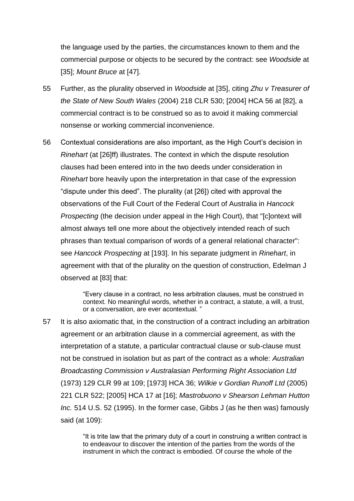the language used by the parties, the circumstances known to them and the commercial purpose or objects to be secured by the contract: see *Woodside* at [35]; *Mount Bruce* at [47].

- 55 Further, as the plurality observed in *Woodside* at [35], citing *Zhu v Treasurer of the State of New South Wales* (2004) 218 CLR 530; [2004] HCA 56 at [82], a commercial contract is to be construed so as to avoid it making commercial nonsense or working commercial inconvenience.
- 56 Contextual considerations are also important, as the High Court's decision in *Rinehart* (at [26]ff) illustrates. The context in which the dispute resolution clauses had been entered into in the two deeds under consideration in *Rinehart* bore heavily upon the interpretation in that case of the expression "dispute under this deed". The plurality (at [26]) cited with approval the observations of the Full Court of the Federal Court of Australia in *Hancock Prospecting* (the decision under appeal in the High Court), that "[c]ontext will almost always tell one more about the objectively intended reach of such phrases than textual comparison of words of a general relational character": see *Hancock Prospecting* at [193]. In his separate judgment in *Rinehart*, in agreement with that of the plurality on the question of construction, Edelman J observed at [83] that:

"Every clause in a contract, no less arbitration clauses, must be construed in context. No meaningful words, whether in a contract, a statute, a will, a trust, or a conversation, are ever acontextual. "

57 It is also axiomatic that, in the construction of a contract including an arbitration agreement or an arbitration clause in a commercial agreement, as with the interpretation of a statute, a particular contractual clause or sub-clause must not be construed in isolation but as part of the contract as a whole: *Australian Broadcasting Commission v Australasian Performing Right Association Ltd* (1973) 129 CLR 99 at 109; [1973] HCA 36; *Wilkie v Gordian Runoff Ltd* (2005) 221 CLR 522; [2005] HCA 17 at [16]; *Mastrobuono v Shearson Lehman Hutton Inc.* 514 U.S. 52 (1995). In the former case, Gibbs J (as he then was) famously said (at 109):

> "It is trite law that the primary duty of a court in construing a written contract is to endeavour to discover the intention of the parties from the words of the instrument in which the contract is embodied. Of course the whole of the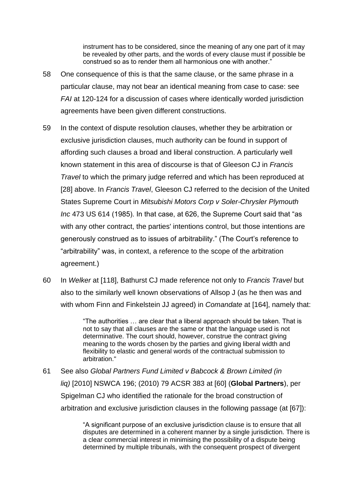instrument has to be considered, since the meaning of any one part of it may be revealed by other parts, and the words of every clause must if possible be construed so as to render them all harmonious one with another."

- 58 One consequence of this is that the same clause, or the same phrase in a particular clause, may not bear an identical meaning from case to case: see *FAI* at 120-124 for a discussion of cases where identically worded jurisdiction agreements have been given different constructions.
- 59 In the context of dispute resolution clauses, whether they be arbitration or exclusive jurisdiction clauses, much authority can be found in support of affording such clauses a broad and liberal construction. A particularly well known statement in this area of discourse is that of Gleeson CJ in *Francis Travel* to which the primary judge referred and which has been reproduced at [28] above. In *Francis Travel*, Gleeson CJ referred to the decision of the United States Supreme Court in *Mitsubishi Motors Corp v Soler-Chrysler Plymouth Inc* 473 US 614 (1985). In that case, at 626, the Supreme Court said that "as with any other contract, the parties' intentions control, but those intentions are generously construed as to issues of arbitrability." (The Court's reference to "arbitrability" was, in context, a reference to the scope of the arbitration agreement.)
- 60 In *Welker* at [118], Bathurst CJ made reference not only to *Francis Travel* but also to the similarly well known observations of Allsop J (as he then was and with whom Finn and Finkelstein JJ agreed) in *Comandate* at [164], namely that:

"The authorities … are clear that a liberal approach should be taken. That is not to say that all clauses are the same or that the language used is not determinative. The court should, however, construe the contract giving meaning to the words chosen by the parties and giving liberal width and flexibility to elastic and general words of the contractual submission to arbitration."

61 See also *Global Partners Fund Limited v Babcock & Brown Limited (in liq)* [2010] NSWCA 196; (2010) 79 ACSR 383 at [60] (**Global Partners**), per Spigelman CJ who identified the rationale for the broad construction of arbitration and exclusive jurisdiction clauses in the following passage (at [67]):

> "A significant purpose of an exclusive jurisdiction clause is to ensure that all disputes are determined in a coherent manner by a single jurisdiction. There is a clear commercial interest in minimising the possibility of a dispute being determined by multiple tribunals, with the consequent prospect of divergent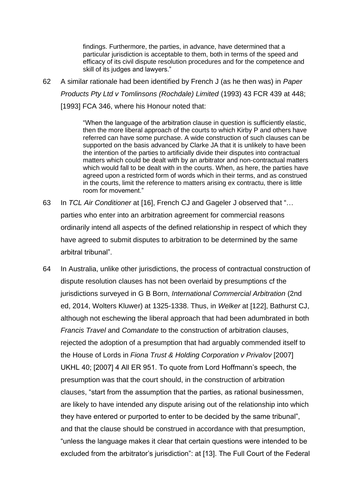findings. Furthermore, the parties, in advance, have determined that a particular jurisdiction is acceptable to them, both in terms of the speed and efficacy of its civil dispute resolution procedures and for the competence and skill of its judges and lawyers."

62 A similar rationale had been identified by French J (as he then was) in *Paper Products Pty Ltd v Tomlinsons (Rochdale) Limited* (1993) 43 FCR 439 at 448; [1993] FCA 346, where his Honour noted that:

> "When the language of the arbitration clause in question is sufficiently elastic, then the more liberal approach of the courts to which Kirby P and others have referred can have some purchase. A wide construction of such clauses can be supported on the basis advanced by Clarke JA that it is unlikely to have been the intention of the parties to artificially divide their disputes into contractual matters which could be dealt with by an arbitrator and non-contractual matters which would fall to be dealt with in the courts. When, as here, the parties have agreed upon a restricted form of words which in their terms, and as construed in the courts, limit the reference to matters arising ex contractu, there is little room for movement."

- 63 In *TCL Air Conditioner* at [16], French CJ and Gageler J observed that "… parties who enter into an arbitration agreement for commercial reasons ordinarily intend all aspects of the defined relationship in respect of which they have agreed to submit disputes to arbitration to be determined by the same arbitral tribunal".
- 64 In Australia, unlike other jurisdictions, the process of contractual construction of dispute resolution clauses has not been overlaid by presumptions cf the jurisdictions surveyed in G B Born, *International Commercial Arbitration* (2nd ed, 2014, Wolters Kluwer) at 1325-1338. Thus, in *Welker* at [122], Bathurst CJ, although not eschewing the liberal approach that had been adumbrated in both *Francis Travel* and *Comandate* to the construction of arbitration clauses, rejected the adoption of a presumption that had arguably commended itself to the House of Lords in *Fiona Trust & Holding Corporation v Privalov* [2007] UKHL 40; [2007] 4 All ER 951. To quote from Lord Hoffmann's speech, the presumption was that the court should, in the construction of arbitration clauses, "start from the assumption that the parties, as rational businessmen, are likely to have intended any dispute arising out of the relationship into which they have entered or purported to enter to be decided by the same tribunal", and that the clause should be construed in accordance with that presumption, "unless the language makes it clear that certain questions were intended to be excluded from the arbitrator's jurisdiction": at [13]. The Full Court of the Federal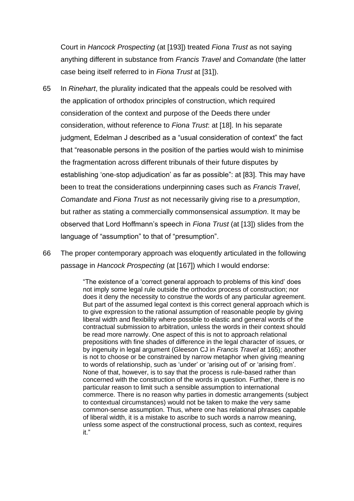Court in *Hancock Prospecting* (at [193]) treated *Fiona Trust* as not saying anything different in substance from *Francis Travel* and *Comandate* (the latter case being itself referred to in *Fiona Trust* at [31]).

- 65 In *Rinehart*, the plurality indicated that the appeals could be resolved with the application of orthodox principles of construction, which required consideration of the context and purpose of the Deeds there under consideration, without reference to *Fiona Trust*: at [18]. In his separate judgment, Edelman J described as a "usual consideration of context" the fact that "reasonable persons in the position of the parties would wish to minimise the fragmentation across different tribunals of their future disputes by establishing 'one-stop adjudication' as far as possible": at [83]. This may have been to treat the considerations underpinning cases such as *Francis Travel*, *Comandate* and *Fiona Trust* as not necessarily giving rise to a *presumption*, but rather as stating a commercially commonsensical *assumption*. It may be observed that Lord Hoffmann's speech in *Fiona Trust* (at [13]) slides from the language of "assumption" to that of "presumption".
- 66 The proper contemporary approach was eloquently articulated in the following passage in *Hancock Prospecting* (at [167]) which I would endorse:

"The existence of a 'correct general approach to problems of this kind' does not imply some legal rule outside the orthodox process of construction; nor does it deny the necessity to construe the words of any particular agreement. But part of the assumed legal context is this correct general approach which is to give expression to the rational assumption of reasonable people by giving liberal width and flexibility where possible to elastic and general words of the contractual submission to arbitration, unless the words in their context should be read more narrowly. One aspect of this is not to approach relational prepositions with fine shades of difference in the legal character of issues, or by ingenuity in legal argument (Gleeson CJ in *Francis Travel* at 165); another is not to choose or be constrained by narrow metaphor when giving meaning to words of relationship, such as 'under' or 'arising out of' or 'arising from'. None of that, however, is to say that the process is rule-based rather than concerned with the construction of the words in question. Further, there is no particular reason to limit such a sensible assumption to international commerce. There is no reason why parties in domestic arrangements (subject to contextual circumstances) would not be taken to make the very same common-sense assumption. Thus, where one has relational phrases capable of liberal width, it is a mistake to ascribe to such words a narrow meaning, unless some aspect of the constructional process, such as context, requires it."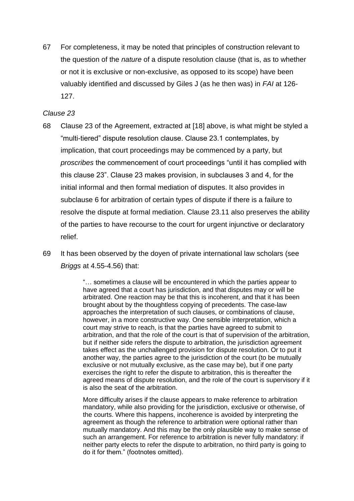67 For completeness, it may be noted that principles of construction relevant to the question of the *nature* of a dispute resolution clause (that is, as to whether or not it is exclusive or non-exclusive, as opposed to its scope) have been valuably identified and discussed by Giles J (as he then was) in *FAI* at 126- 127.

#### *Clause 23*

- 68 Clause 23 of the Agreement, extracted at [18] above, is what might be styled a "multi-tiered" dispute resolution clause. Clause 23.1 contemplates, by implication, that court proceedings may be commenced by a party, but *proscribes* the commencement of court proceedings "until it has complied with this clause 23". Clause 23 makes provision, in subclauses 3 and 4, for the initial informal and then formal mediation of disputes. It also provides in subclause 6 for arbitration of certain types of dispute if there is a failure to resolve the dispute at formal mediation. Clause 23.11 also preserves the ability of the parties to have recourse to the court for urgent injunctive or declaratory relief.
- 69 It has been observed by the doyen of private international law scholars (see *Briggs* at 4.55-4.56) that:

"… sometimes a clause will be encountered in which the parties appear to have agreed that a court has jurisdiction, and that disputes may or will be arbitrated. One reaction may be that this is incoherent, and that it has been brought about by the thoughtless copying of precedents. The case-law approaches the interpretation of such clauses, or combinations of clause, however, in a more constructive way. One sensible interpretation, which a court may strive to reach, is that the parties have agreed to submit to arbitration, and that the role of the court is that of supervision of the arbitration, but if neither side refers the dispute to arbitration, the jurisdiction agreement takes effect as the unchallenged provision for dispute resolution. Or to put it another way, the parties agree to the jurisdiction of the court (to be mutually exclusive or not mutually exclusive, as the case may be), but if one party exercises the right to refer the dispute to arbitration, this is thereafter the agreed means of dispute resolution, and the role of the court is supervisory if it is also the seat of the arbitration.

More difficulty arises if the clause appears to make reference to arbitration mandatory, while also providing for the jurisdiction, exclusive or otherwise, of the courts. Where this happens, incoherence is avoided by interpreting the agreement as though the reference to arbitration were optional rather than mutually mandatory. And this may be the only plausible way to make sense of such an arrangement. For reference to arbitration is never fully mandatory: if neither party elects to refer the dispute to arbitration, no third party is going to do it for them." (footnotes omitted).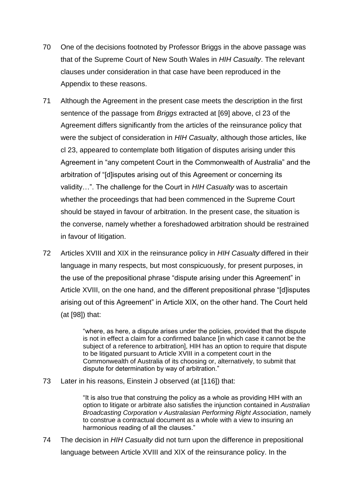- 70 One of the decisions footnoted by Professor Briggs in the above passage was that of the Supreme Court of New South Wales in *HIH Casualty*. The relevant clauses under consideration in that case have been reproduced in the Appendix to these reasons.
- 71 Although the Agreement in the present case meets the description in the first sentence of the passage from *Briggs* extracted at [69] above, cl 23 of the Agreement differs significantly from the articles of the reinsurance policy that were the subject of consideration in *HIH Casualty*, although those articles, like cl 23, appeared to contemplate both litigation of disputes arising under this Agreement in "any competent Court in the Commonwealth of Australia" and the arbitration of "[d]isputes arising out of this Agreement or concerning its validity…". The challenge for the Court in *HIH Casualty* was to ascertain whether the proceedings that had been commenced in the Supreme Court should be stayed in favour of arbitration. In the present case, the situation is the converse, namely whether a foreshadowed arbitration should be restrained in favour of litigation.
- 72 Articles XVIII and XIX in the reinsurance policy in *HIH Casualty* differed in their language in many respects, but most conspicuously, for present purposes, in the use of the prepositional phrase "dispute arising under this Agreement" in Article XVIII, on the one hand, and the different prepositional phrase "[d]isputes arising out of this Agreement" in Article XIX, on the other hand. The Court held (at [98]) that:

"where, as here, a dispute arises under the policies, provided that the dispute is not in effect a claim for a confirmed balance [in which case it cannot be the subject of a reference to arbitration], HIH has an option to require that dispute to be litigated pursuant to Article XVIII in a competent court in the Commonwealth of Australia of its choosing or, alternatively, to submit that dispute for determination by way of arbitration."

73 Later in his reasons, Einstein J observed (at [116]) that:

"It is also true that construing the policy as a whole as providing HIH with an option to litigate or arbitrate also satisfies the injunction contained in *Australian Broadcasting Corporation v Australasian Performing Right Association*, namely to construe a contractual document as a whole with a view to insuring an harmonious reading of all the clauses."

74 The decision in *HIH Casualty* did not turn upon the difference in prepositional language between Article XVIII and XIX of the reinsurance policy. In the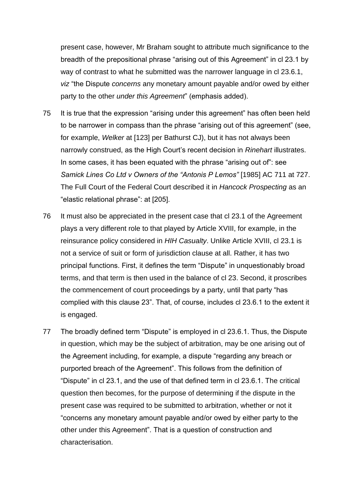present case, however, Mr Braham sought to attribute much significance to the breadth of the prepositional phrase "arising out of this Agreement" in cl 23.1 by way of contrast to what he submitted was the narrower language in cl 23.6.1, *viz* "the Dispute *concerns* any monetary amount payable and/or owed by either party to the other *under this Agreement*" (emphasis added).

- 75 It is true that the expression "arising under this agreement" has often been held to be narrower in compass than the phrase "arising out of this agreement" (see, for example, *Welker* at [123] per Bathurst CJ), but it has not always been narrowly construed, as the High Court's recent decision in *Rinehart* illustrates. In some cases, it has been equated with the phrase "arising out of": see *Samick Lines Co Ltd v Owners of the "Antonis P Lemos"* [1985] AC 711 at 727. The Full Court of the Federal Court described it in *Hancock Prospecting* as an "elastic relational phrase": at [205].
- 76 It must also be appreciated in the present case that cl 23.1 of the Agreement plays a very different role to that played by Article XVIII, for example, in the reinsurance policy considered in *HIH Casualty*. Unlike Article XVIII, cl 23.1 is not a service of suit or form of jurisdiction clause at all. Rather, it has two principal functions. First, it defines the term "Dispute" in unquestionably broad terms, and that term is then used in the balance of cl 23. Second, it proscribes the commencement of court proceedings by a party, until that party "has complied with this clause 23". That, of course, includes cl 23.6.1 to the extent it is engaged.
- 77 The broadly defined term "Dispute" is employed in cl 23.6.1. Thus, the Dispute in question, which may be the subject of arbitration, may be one arising out of the Agreement including, for example, a dispute "regarding any breach or purported breach of the Agreement". This follows from the definition of "Dispute" in cl 23.1, and the use of that defined term in cl 23.6.1. The critical question then becomes, for the purpose of determining if the dispute in the present case was required to be submitted to arbitration, whether or not it "concerns any monetary amount payable and/or owed by either party to the other under this Agreement". That is a question of construction and characterisation.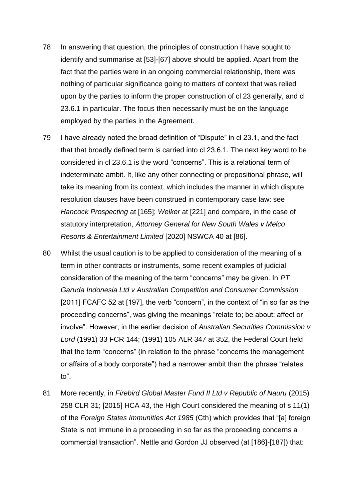- 78 In answering that question, the principles of construction I have sought to identify and summarise at [53]-[67] above should be applied. Apart from the fact that the parties were in an ongoing commercial relationship, there was nothing of particular significance going to matters of context that was relied upon by the parties to inform the proper construction of cl 23 generally, and cl 23.6.1 in particular. The focus then necessarily must be on the language employed by the parties in the Agreement.
- 79 I have already noted the broad definition of "Dispute" in cl 23.1, and the fact that that broadly defined term is carried into cl 23.6.1. The next key word to be considered in cl 23.6.1 is the word "concerns". This is a relational term of indeterminate ambit. It, like any other connecting or prepositional phrase, will take its meaning from its context, which includes the manner in which dispute resolution clauses have been construed in contemporary case law: see *Hancock Prospecting* at [165]; *Welker* at [221] and compare, in the case of statutory interpretation, *Attorney General for New South Wales v Melco Resorts & Entertainment Limited* [2020] NSWCA 40 at [86].
- 80 Whilst the usual caution is to be applied to consideration of the meaning of a term in other contracts or instruments, some recent examples of judicial consideration of the meaning of the term "concerns" may be given. In *PT Garuda Indonesia Ltd v Australian Competition and Consumer Commission* [2011] FCAFC 52 at [197], the verb "concern", in the context of "in so far as the proceeding concerns", was giving the meanings "relate to; be about; affect or involve". However, in the earlier decision of *Australian Securities Commission v Lord* (1991) 33 FCR 144; (1991) 105 ALR 347 at 352, the Federal Court held that the term "concerns" (in relation to the phrase "concerns the management or affairs of a body corporate") had a narrower ambit than the phrase "relates to".
- 81 More recently, in *Firebird Global Master Fund II Ltd v Republic of Nauru* (2015) 258 CLR 31; [2015] HCA 43, the High Court considered the meaning of s 11(1) of the *Foreign States Immunities Act 1985* (Cth) which provides that "[a] foreign State is not immune in a proceeding in so far as the proceeding concerns a commercial transaction". Nettle and Gordon JJ observed (at [186]-[187]) that: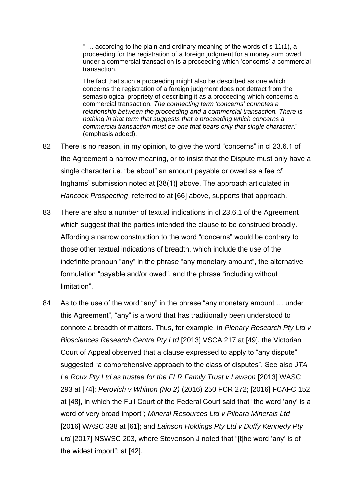" … according to the plain and ordinary meaning of the words of s 11(1), a proceeding for the registration of a foreign judgment for a money sum owed under a commercial transaction is a proceeding which 'concerns' a commercial transaction.

The fact that such a proceeding might also be described as one which concerns the registration of a foreign judgment does not detract from the semasiological propriety of describing it as a proceeding which concerns a commercial transaction. *The connecting term 'concerns' connotes a relationship between the proceeding and a commercial transaction. There is nothing in that term that suggests that a proceeding which concerns a commercial transaction must be one that bears only that single character*." (emphasis added).

- 82 There is no reason, in my opinion, to give the word "concerns" in cl 23.6.1 of the Agreement a narrow meaning, or to insist that the Dispute must only have a single character i.e. "be about" an amount payable or owed as a fee *cf*. Inghams' submission noted at [38(1)] above. The approach articulated in *Hancock Prospecting*, referred to at [66] above, supports that approach.
- 83 There are also a number of textual indications in cl 23.6.1 of the Agreement which suggest that the parties intended the clause to be construed broadly. Affording a narrow construction to the word "concerns" would be contrary to those other textual indications of breadth, which include the use of the indefinite pronoun "any" in the phrase "any monetary amount", the alternative formulation "payable and/or owed", and the phrase "including without limitation".
- 84 As to the use of the word "any" in the phrase "any monetary amount … under this Agreement", "any" is a word that has traditionally been understood to connote a breadth of matters. Thus, for example, in *Plenary Research Pty Ltd v Biosciences Research Centre Pty Ltd* [2013] VSCA 217 at [49], the Victorian Court of Appeal observed that a clause expressed to apply to "any dispute" suggested "a comprehensive approach to the class of disputes". See also *JTA Le Roux Pty Ltd as trustee for the FLR Family Trust v Lawson* [2013] WASC 293 at [74]; *Perovich v Whitton (No 2)* (2016) 250 FCR 272; [2016] FCAFC 152 at [48], in which the Full Court of the Federal Court said that "the word 'any' is a word of very broad import"; *Mineral Resources Ltd v Pilbara Minerals Ltd*  [2016] WASC 338 at [61]; and *Lainson Holdings Pty Ltd v Duffy Kennedy Pty Ltd* [2017] NSWSC 203, where Stevenson J noted that "[t]he word 'any' is of the widest import": at [42].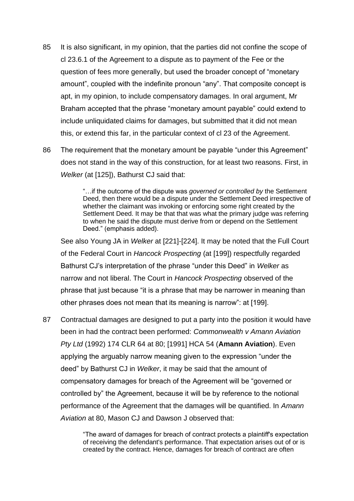- 85 It is also significant, in my opinion, that the parties did not confine the scope of cl 23.6.1 of the Agreement to a dispute as to payment of the Fee or the question of fees more generally, but used the broader concept of "monetary amount", coupled with the indefinite pronoun "any". That composite concept is apt, in my opinion, to include compensatory damages. In oral argument, Mr Braham accepted that the phrase "monetary amount payable" could extend to include unliquidated claims for damages, but submitted that it did not mean this, or extend this far, in the particular context of cl 23 of the Agreement.
- 86 The requirement that the monetary amount be payable "under this Agreement" does not stand in the way of this construction, for at least two reasons. First, in *Welker* (at [125]), Bathurst CJ said that:

"…if the outcome of the dispute was *governed or controlled by* the Settlement Deed, then there would be a dispute under the Settlement Deed irrespective of whether the claimant was invoking or enforcing some right created by the Settlement Deed. It may be that that was what the primary judge was referring to when he said the dispute must derive from or depend on the Settlement Deed." (emphasis added).

See also Young JA in *Welker* at [221]-[224]. It may be noted that the Full Court of the Federal Court in *Hancock Prospecting* (at [199]) respectfully regarded Bathurst CJ's interpretation of the phrase "under this Deed" in *Welker* as narrow and not liberal. The Court in *Hancock Prospecting* observed of the phrase that just because "it is a phrase that may be narrower in meaning than other phrases does not mean that its meaning is narrow": at [199].

87 Contractual damages are designed to put a party into the position it would have been in had the contract been performed: *Commonwealth v Amann Aviation Pty Ltd* (1992) 174 CLR 64 at 80; [1991] HCA 54 (**Amann Aviation**). Even applying the arguably narrow meaning given to the expression "under the deed" by Bathurst CJ in *Welker*, it may be said that the amount of compensatory damages for breach of the Agreement will be "governed or controlled by" the Agreement, because it will be by reference to the notional performance of the Agreement that the damages will be quantified. In *Amann Aviation* at 80, Mason CJ and Dawson J observed that:

> "The award of damages for breach of contract protects a plaintiff's expectation of receiving the defendant's performance. That expectation arises out of or is created by the contract. Hence, damages for breach of contract are often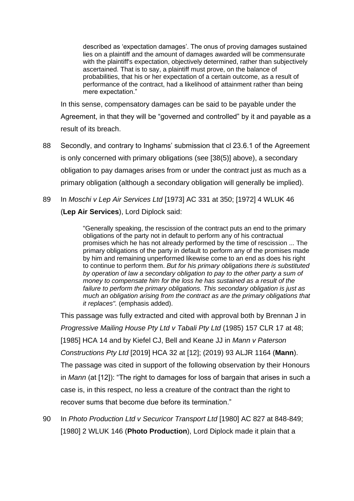described as 'expectation damages'. The onus of proving damages sustained lies on a plaintiff and the amount of damages awarded will be commensurate with the plaintiff's expectation, objectively determined, rather than subjectively ascertained. That is to say, a plaintiff must prove, on the balance of probabilities, that his or her expectation of a certain outcome, as a result of performance of the contract, had a likelihood of attainment rather than being mere expectation."

In this sense, compensatory damages can be said to be payable under the Agreement, in that they will be "governed and controlled" by it and payable as a result of its breach.

- 88 Secondly, and contrary to Inghams' submission that cl 23.6.1 of the Agreement is only concerned with primary obligations (see [38(5)] above), a secondary obligation to pay damages arises from or under the contract just as much as a primary obligation (although a secondary obligation will generally be implied).
- 89 In *Moschi v Lep Air Services Ltd* [1973] AC 331 at 350; [1972] 4 WLUK 46 (**Lep Air Services**), Lord Diplock said:

"Generally speaking, the rescission of the contract puts an end to the primary obligations of the party not in default to perform any of his contractual promises which he has not already performed by the time of rescission ... The primary obligations of the party in default to perform any of the promises made by him and remaining unperformed likewise come to an end as does his right to continue to perform them. *But for his primary obligations there is substituted by operation of law a secondary obligation to pay to the other party a sum of money to compensate him for the loss he has sustained as a result of the failure to perform the primary obligations. This secondary obligation is just as much an obligation arising from the contract as are the primary obligations that it replaces".* (emphasis added).

This passage was fully extracted and cited with approval both by Brennan J in *Progressive Mailing House Pty Ltd v Tabali Pty Ltd* (1985) 157 CLR 17 at 48; [1985] HCA 14 and by Kiefel CJ, Bell and Keane JJ in *Mann v Paterson Constructions Pty Ltd* [2019] HCA 32 at [12]; (2019) 93 ALJR 1164 (**Mann**). The passage was cited in support of the following observation by their Honours in *Mann* (at [12]): "The right to damages for loss of bargain that arises in such a case is, in this respect, no less a creature of the contract than the right to recover sums that become due before its termination."

90 In *Photo Production Ltd v Securicor Transport Ltd* [1980] AC 827 at 848-849; [1980] 2 WLUK 146 (**Photo Production**), Lord Diplock made it plain that a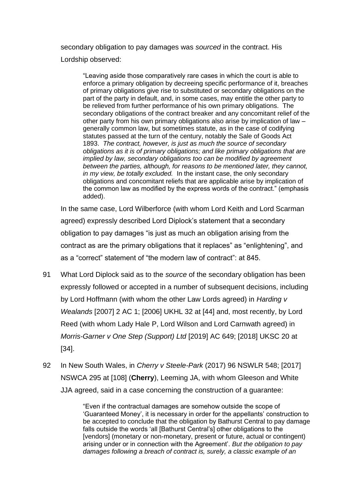secondary obligation to pay damages was *sourced* in the contract. His Lordship observed:

> "Leaving aside those comparatively rare cases in which the court is able to enforce a primary obligation by decreeing specific performance of it, breaches of primary obligations give rise to substituted or secondary obligations on the part of the party in default, and, in some cases, may entitle the other party to be relieved from further performance of his own primary obligations. The secondary obligations of the contract breaker and any concomitant relief of the other party from his own primary obligations also arise by implication of law – generally common law, but sometimes statute, as in the case of codifying statutes passed at the turn of the century, notably the Sale of Goods Act 1893. *The contract, however, is just as much the source of secondary obligations as it is of primary obligations; and like primary obligations that are implied by law, secondary obligations too can be modified by agreement between the parties, although, for reasons to be mentioned later, they cannot, in my view, be totally excluded.* In the instant case, the only secondary obligations and concomitant reliefs that are applicable arise by implication of the common law as modified by the express words of the contract." (emphasis added).

In the same case, Lord Wilberforce (with whom Lord Keith and Lord Scarman agreed) expressly described Lord Diplock's statement that a secondary obligation to pay damages "is just as much an obligation arising from the contract as are the primary obligations that it replaces" as "enlightening", and as a "correct" statement of "the modern law of contract": at 845.

- 91 What Lord Diplock said as to the *source* of the secondary obligation has been expressly followed or accepted in a number of subsequent decisions, including by Lord Hoffmann (with whom the other Law Lords agreed) in *Harding v Wealands* [2007] 2 AC 1; [2006] UKHL 32 at [44] and, most recently, by Lord Reed (with whom Lady Hale P, Lord Wilson and Lord Carnwath agreed) in *Morris-Garner v One Step (Support) Ltd* [2019] AC 649; [2018] UKSC 20 at [34].
- 92 In New South Wales, in *Cherry v Steele-Park* (2017) 96 NSWLR 548; [2017] NSWCA 295 at [108] (**Cherry**), Leeming JA, with whom Gleeson and White JJA agreed, said in a case concerning the construction of a guarantee:

"Even if the contractual damages are somehow outside the scope of 'Guaranteed Money', it is necessary in order for the appellants' construction to be accepted to conclude that the obligation by Bathurst Central to pay damage falls outside the words 'all [Bathurst Central's] other obligations to the [vendors] (monetary or non-monetary, present or future, actual or contingent) arising under or in connection with the Agreement'. *But the obligation to pay damages following a breach of contract is, surely, a classic example of an*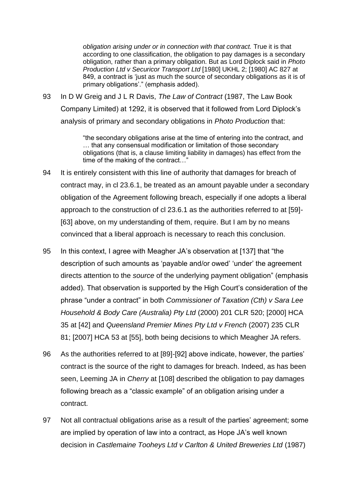*obligation arising under or in connection with that contract.* True it is that according to one classification, the obligation to pay damages is a secondary obligation, rather than a primary obligation. But as Lord Diplock said in *Photo Production Ltd v Securicor Transport Ltd* [1980] UKHL 2; [1980] AC 827 at 849, a contract is 'iust as much the source of secondary obligations as it is of primary obligations'." (emphasis added).

93 In D W Greig and J L R Davis, *The Law of Contract* (1987, The Law Book Company Limited) at 1292, it is observed that it followed from Lord Diplock's analysis of primary and secondary obligations in *Photo Production* that:

> "the secondary obligations arise at the time of entering into the contract, and … that any consensual modification or limitation of those secondary obligations (that is, a clause limiting liability in damages) has effect from the time of the making of the contract…"

- 94 It is entirely consistent with this line of authority that damages for breach of contract may, in cl 23.6.1, be treated as an amount payable under a secondary obligation of the Agreement following breach, especially if one adopts a liberal approach to the construction of cl 23.6.1 as the authorities referred to at [59]- [63] above, on my understanding of them, require. But I am by no means convinced that a liberal approach is necessary to reach this conclusion.
- 95 In this context, I agree with Meagher JA's observation at [137] that "the description of such amounts as 'payable and/or owed' 'under' the agreement directs attention to the *source* of the underlying payment obligation" (emphasis added). That observation is supported by the High Court's consideration of the phrase "under a contract" in both *Commissioner of Taxation (Cth) v Sara Lee Household & Body Care (Australia) Pty Ltd* (2000) 201 CLR 520; [2000] HCA 35 at [42] and *Queensland Premier Mines Pty Ltd v French* (2007) 235 CLR 81; [2007] HCA 53 at [55], both being decisions to which Meagher JA refers.
- 96 As the authorities referred to at [89]-[92] above indicate, however, the parties' contract is the source of the right to damages for breach. Indeed, as has been seen, Leeming JA in *Cherry* at [108] described the obligation to pay damages following breach as a "classic example" of an obligation arising under a contract.
- 97 Not all contractual obligations arise as a result of the parties' agreement; some are implied by operation of law into a contract, as Hope JA's well known decision in *Castlemaine Tooheys Ltd v Carlton & United Breweries Ltd* (1987)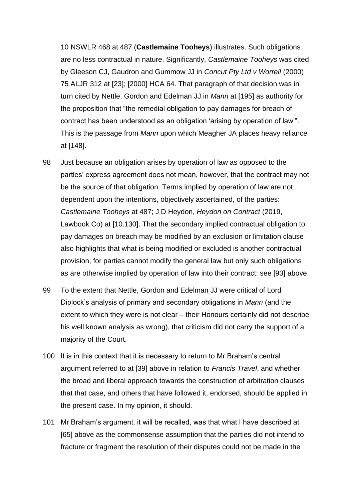10 NSWLR 468 at 487 (**Castlemaine Tooheys**) illustrates. Such obligations are no less contractual in nature. Significantly, *Castlemaine Tooheys* was cited by Gleeson CJ, Gaudron and Gummow JJ in *Concut Pty Ltd v Worrell* (2000) 75 ALJR 312 at [23]; [2000] HCA 64. That paragraph of that decision was in turn cited by Nettle, Gordon and Edelman JJ in *Mann* at [195] as authority for the proposition that "the remedial obligation to pay damages for breach of contract has been understood as an obligation 'arising by operation of law'". This is the passage from *Mann* upon which Meagher JA places heavy reliance at [148].

- 98 Just because an obligation arises by operation of law as opposed to the parties' express agreement does not mean, however, that the contract may not be the source of that obligation. Terms implied by operation of law are not dependent upon the intentions, objectively ascertained, of the parties: *Castlemaine Tooheys* at 487; J D Heydon, *Heydon on Contract* (2019, Lawbook Co) at [10.130]. That the secondary implied contractual obligation to pay damages on breach may be modified by an exclusion or limitation clause also highlights that what is being modified or excluded is another contractual provision, for parties cannot modify the general law but only such obligations as are otherwise implied by operation of law into their contract: see [93] above.
- 99 To the extent that Nettle, Gordon and Edelman JJ were critical of Lord Diplock's analysis of primary and secondary obligations in *Mann* (and the extent to which they were is not clear – their Honours certainly did not describe his well known analysis as wrong), that criticism did not carry the support of a majority of the Court.
- 100 It is in this context that it is necessary to return to Mr Braham's central argument referred to at [39] above in relation to *Francis Travel*, and whether the broad and liberal approach towards the construction of arbitration clauses that that case, and others that have followed it, endorsed, should be applied in the present case. In my opinion, it should.
- 101 Mr Braham's argument, it will be recalled, was that what I have described at [65] above as the commonsense assumption that the parties did not intend to fracture or fragment the resolution of their disputes could not be made in the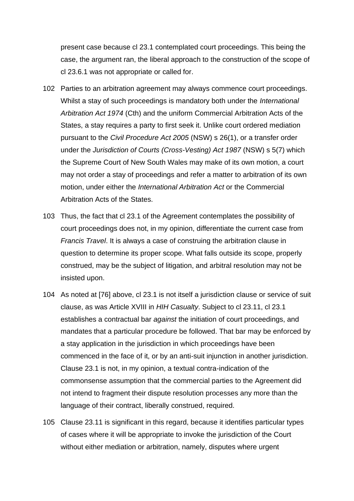present case because cl 23.1 contemplated court proceedings. This being the case, the argument ran, the liberal approach to the construction of the scope of cl 23.6.1 was not appropriate or called for.

- 102 Parties to an arbitration agreement may always commence court proceedings. Whilst a stay of such proceedings is mandatory both under the *International Arbitration Act 1974* (Cth) and the uniform Commercial Arbitration Acts of the States, a stay requires a party to first seek it. Unlike court ordered mediation pursuant to the *Civil Procedure Act 2005* (NSW) s 26(1), or a transfer order under the *Jurisdiction of Courts (Cross-Vesting) Act 1987* (NSW) s 5(7) which the Supreme Court of New South Wales may make of its own motion, a court may not order a stay of proceedings and refer a matter to arbitration of its own motion, under either the *International Arbitration Act* or the Commercial Arbitration Acts of the States.
- 103 Thus, the fact that cl 23.1 of the Agreement contemplates the possibility of court proceedings does not, in my opinion, differentiate the current case from *Francis Travel*. It is always a case of construing the arbitration clause in question to determine its proper scope. What falls outside its scope, properly construed, may be the subject of litigation, and arbitral resolution may not be insisted upon.
- 104 As noted at [76] above, cl 23.1 is not itself a jurisdiction clause or service of suit clause, as was Article XVIII in *HIH Casualty*. Subject to cl 23.11, cl 23.1 establishes a contractual bar *against* the initiation of court proceedings, and mandates that a particular procedure be followed. That bar may be enforced by a stay application in the jurisdiction in which proceedings have been commenced in the face of it, or by an anti-suit injunction in another jurisdiction. Clause 23.1 is not, in my opinion, a textual contra-indication of the commonsense assumption that the commercial parties to the Agreement did not intend to fragment their dispute resolution processes any more than the language of their contract, liberally construed, required.
- 105 Clause 23.11 is significant in this regard, because it identifies particular types of cases where it will be appropriate to invoke the jurisdiction of the Court without either mediation or arbitration, namely, disputes where urgent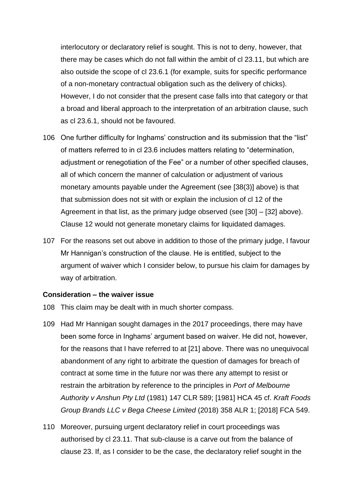interlocutory or declaratory relief is sought. This is not to deny, however, that there may be cases which do not fall within the ambit of cl 23.11, but which are also outside the scope of cl 23.6.1 (for example, suits for specific performance of a non-monetary contractual obligation such as the delivery of chicks). However, I do not consider that the present case falls into that category or that a broad and liberal approach to the interpretation of an arbitration clause, such as cl 23.6.1, should not be favoured.

- 106 One further difficulty for Inghams' construction and its submission that the "list" of matters referred to in cl 23.6 includes matters relating to "determination, adjustment or renegotiation of the Fee" or a number of other specified clauses, all of which concern the manner of calculation or adjustment of various monetary amounts payable under the Agreement (see [38(3)] above) is that that submission does not sit with or explain the inclusion of cl 12 of the Agreement in that list, as the primary judge observed (see [30] – [32] above). Clause 12 would not generate monetary claims for liquidated damages.
- 107 For the reasons set out above in addition to those of the primary judge, I favour Mr Hannigan's construction of the clause. He is entitled, subject to the argument of waiver which I consider below, to pursue his claim for damages by way of arbitration.

### **Consideration – the waiver issue**

- 108 This claim may be dealt with in much shorter compass.
- 109 Had Mr Hannigan sought damages in the 2017 proceedings, there may have been some force in Inghams' argument based on waiver. He did not, however, for the reasons that I have referred to at [21] above. There was no unequivocal abandonment of any right to arbitrate the question of damages for breach of contract at some time in the future nor was there any attempt to resist or restrain the arbitration by reference to the principles in *Port of Melbourne Authority v Anshun Pty Ltd* (1981) 147 CLR 589; [1981] HCA 45 cf. *Kraft Foods Group Brands LLC v Bega Cheese Limited* (2018) 358 ALR 1; [2018] FCA 549.
- 110 Moreover, pursuing urgent declaratory relief in court proceedings was authorised by cl 23.11. That sub-clause is a carve out from the balance of clause 23. If, as I consider to be the case, the declaratory relief sought in the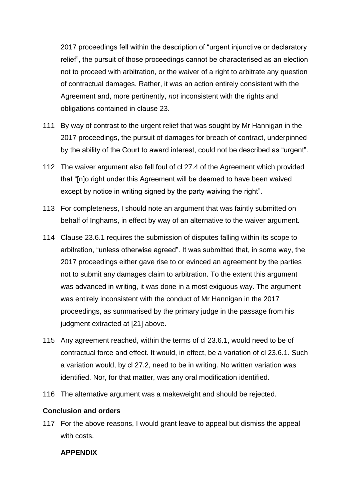2017 proceedings fell within the description of "urgent injunctive or declaratory relief", the pursuit of those proceedings cannot be characterised as an election not to proceed with arbitration, or the waiver of a right to arbitrate any question of contractual damages. Rather, it was an action entirely consistent with the Agreement and, more pertinently, *not* inconsistent with the rights and obligations contained in clause 23.

- 111 By way of contrast to the urgent relief that was sought by Mr Hannigan in the 2017 proceedings, the pursuit of damages for breach of contract, underpinned by the ability of the Court to award interest, could not be described as "urgent".
- 112 The waiver argument also fell foul of cl 27.4 of the Agreement which provided that "[n]o right under this Agreement will be deemed to have been waived except by notice in writing signed by the party waiving the right".
- 113 For completeness, I should note an argument that was faintly submitted on behalf of Inghams, in effect by way of an alternative to the waiver argument.
- 114 Clause 23.6.1 requires the submission of disputes falling within its scope to arbitration, "unless otherwise agreed". It was submitted that, in some way, the 2017 proceedings either gave rise to or evinced an agreement by the parties not to submit any damages claim to arbitration. To the extent this argument was advanced in writing, it was done in a most exiguous way. The argument was entirely inconsistent with the conduct of Mr Hannigan in the 2017 proceedings, as summarised by the primary judge in the passage from his judgment extracted at [21] above.
- 115 Any agreement reached, within the terms of cl 23.6.1, would need to be of contractual force and effect. It would, in effect, be a variation of cl 23.6.1. Such a variation would, by cl 27.2, need to be in writing. No written variation was identified. Nor, for that matter, was any oral modification identified.
- 116 The alternative argument was a makeweight and should be rejected.

## **Conclusion and orders**

117 For the above reasons, I would grant leave to appeal but dismiss the appeal with costs.

## **APPENDIX**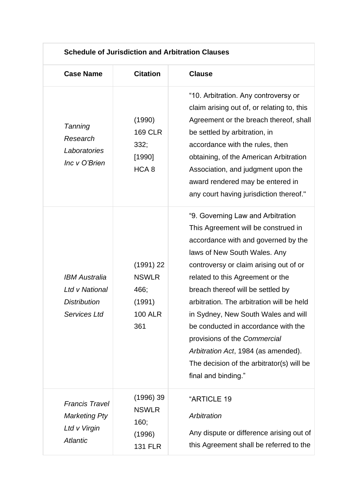| <b>Schedule of Jurisdiction and Arbitration Clauses</b>                          |                                                                      |                                                                                                                                                                                                                                                                                                                                                                                                                                                                                                                                          |
|----------------------------------------------------------------------------------|----------------------------------------------------------------------|------------------------------------------------------------------------------------------------------------------------------------------------------------------------------------------------------------------------------------------------------------------------------------------------------------------------------------------------------------------------------------------------------------------------------------------------------------------------------------------------------------------------------------------|
| <b>Case Name</b>                                                                 | <b>Citation</b>                                                      | <b>Clause</b>                                                                                                                                                                                                                                                                                                                                                                                                                                                                                                                            |
| Tanning<br>Research<br>Laboratories<br>Inc v O'Brien                             | (1990)<br><b>169 CLR</b><br>332;<br>[1990]<br>HCA <sub>8</sub>       | "10. Arbitration. Any controversy or<br>claim arising out of, or relating to, this<br>Agreement or the breach thereof, shall<br>be settled by arbitration, in<br>accordance with the rules, then<br>obtaining, of the American Arbitration<br>Association, and judgment upon the<br>award rendered may be entered in<br>any court having jurisdiction thereof."                                                                                                                                                                          |
| <b>IBM Australia</b><br>Ltd v National<br><b>Distribution</b><br>Services Ltd    | (1991) 22<br><b>NSWLR</b><br>466;<br>(1991)<br><b>100 ALR</b><br>361 | "9. Governing Law and Arbitration<br>This Agreement will be construed in<br>accordance with and governed by the<br>laws of New South Wales. Any<br>controversy or claim arising out of or<br>related to this Agreement or the<br>breach thereof will be settled by<br>arbitration. The arbitration will be held<br>in Sydney, New South Wales and will<br>be conducted in accordance with the<br>provisions of the Commercial<br>Arbitration Act, 1984 (as amended).<br>The decision of the arbitrator(s) will be<br>final and binding." |
| <b>Francis Travel</b><br><b>Marketing Pty</b><br>Ltd v Virgin<br><b>Atlantic</b> | $(1996)$ 39<br><b>NSWLR</b><br>160;<br>(1996)<br><b>131 FLR</b>      | "ARTICLE 19<br>Arbitration<br>Any dispute or difference arising out of<br>this Agreement shall be referred to the                                                                                                                                                                                                                                                                                                                                                                                                                        |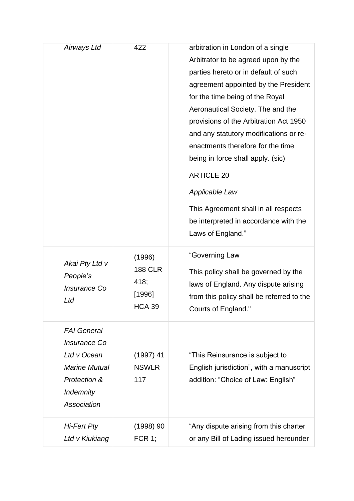| Airways Ltd                                                                                                                         | 422                                                         | arbitration in London of a single<br>Arbitrator to be agreed upon by the<br>parties hereto or in default of such<br>agreement appointed by the President<br>for the time being of the Royal<br>Aeronautical Society. The and the<br>provisions of the Arbitration Act 1950<br>and any statutory modifications or re-<br>enactments therefore for the time<br>being in force shall apply. (sic)<br><b>ARTICLE 20</b><br>Applicable Law<br>This Agreement shall in all respects<br>be interpreted in accordance with the<br>Laws of England." |
|-------------------------------------------------------------------------------------------------------------------------------------|-------------------------------------------------------------|---------------------------------------------------------------------------------------------------------------------------------------------------------------------------------------------------------------------------------------------------------------------------------------------------------------------------------------------------------------------------------------------------------------------------------------------------------------------------------------------------------------------------------------------|
| Akai Pty Ltd v<br>People's<br><b>Insurance Co</b><br>Ltd                                                                            | (1996)<br><b>188 CLR</b><br>418;<br>[1996]<br><b>HCA 39</b> | "Governing Law<br>This policy shall be governed by the<br>laws of England. Any dispute arising<br>from this policy shall be referred to the<br>Courts of England."                                                                                                                                                                                                                                                                                                                                                                          |
| <b>FAI</b> General<br><b>Insurance Co</b><br>Ltd v Ocean<br><b>Marine Mutual</b><br>Protection &<br><b>Indemnity</b><br>Association | $(1997)$ 41<br><b>NSWLR</b><br>117                          | "This Reinsurance is subject to<br>English jurisdiction", with a manuscript<br>addition: "Choice of Law: English"                                                                                                                                                                                                                                                                                                                                                                                                                           |
| <b>Hi-Fert Pty</b><br>Ltd v Kiukiang                                                                                                | $(1998)$ 90<br><b>FCR 1;</b>                                | "Any dispute arising from this charter<br>or any Bill of Lading issued hereunder                                                                                                                                                                                                                                                                                                                                                                                                                                                            |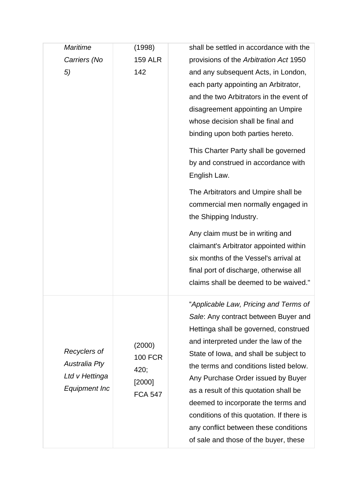| <b>Maritime</b>                                                         | (1998)                                                       | shall be settled in accordance with the                                                                                                                                                                                                                                                                                                                                                                                                                                                                                                                                                                                                               |
|-------------------------------------------------------------------------|--------------------------------------------------------------|-------------------------------------------------------------------------------------------------------------------------------------------------------------------------------------------------------------------------------------------------------------------------------------------------------------------------------------------------------------------------------------------------------------------------------------------------------------------------------------------------------------------------------------------------------------------------------------------------------------------------------------------------------|
| Carriers (No                                                            | <b>159 ALR</b>                                               | provisions of the Arbitration Act 1950                                                                                                                                                                                                                                                                                                                                                                                                                                                                                                                                                                                                                |
| 5)                                                                      | 142                                                          | and any subsequent Acts, in London,<br>each party appointing an Arbitrator,<br>and the two Arbitrators in the event of<br>disagreement appointing an Umpire<br>whose decision shall be final and<br>binding upon both parties hereto.<br>This Charter Party shall be governed<br>by and construed in accordance with<br>English Law.<br>The Arbitrators and Umpire shall be<br>commercial men normally engaged in<br>the Shipping Industry.<br>Any claim must be in writing and<br>claimant's Arbitrator appointed within<br>six months of the Vessel's arrival at<br>final port of discharge, otherwise all<br>claims shall be deemed to be waived." |
| Recyclers of<br>Australia Pty<br>Ltd v Hettinga<br><b>Equipment Inc</b> | (2000)<br><b>100 FCR</b><br>420;<br>[2000]<br><b>FCA 547</b> | "Applicable Law, Pricing and Terms of<br>Sale: Any contract between Buyer and<br>Hettinga shall be governed, construed<br>and interpreted under the law of the<br>State of Iowa, and shall be subject to<br>the terms and conditions listed below.<br>Any Purchase Order issued by Buyer<br>as a result of this quotation shall be<br>deemed to incorporate the terms and<br>conditions of this quotation. If there is<br>any conflict between these conditions<br>of sale and those of the buyer, these                                                                                                                                              |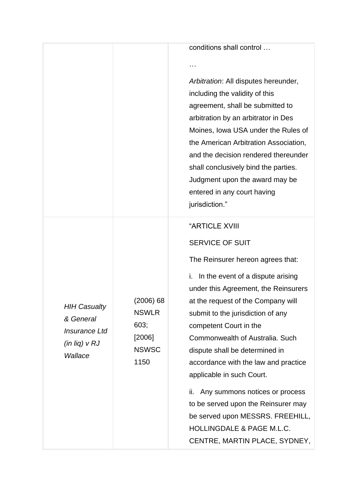|                                                                                          |                                                                     | conditions shall control<br>Arbitration: All disputes hereunder,<br>including the validity of this<br>agreement, shall be submitted to<br>arbitration by an arbitrator in Des<br>Moines, Iowa USA under the Rules of<br>the American Arbitration Association,<br>and the decision rendered thereunder<br>shall conclusively bind the parties.<br>Judgment upon the award may be<br>entered in any court having<br>jurisdiction."                                                                                                                                                                             |
|------------------------------------------------------------------------------------------|---------------------------------------------------------------------|--------------------------------------------------------------------------------------------------------------------------------------------------------------------------------------------------------------------------------------------------------------------------------------------------------------------------------------------------------------------------------------------------------------------------------------------------------------------------------------------------------------------------------------------------------------------------------------------------------------|
| <b>HIH Casualty</b><br>& General<br><b>Insurance Ltd</b><br>$(in$ lig) $v$ RJ<br>Wallace | (2006) 68<br><b>NSWLR</b><br>603;<br>[2006]<br><b>NSWSC</b><br>1150 | "ARTICLE XVIII<br><b>SERVICE OF SUIT</b><br>The Reinsurer hereon agrees that:<br>In the event of a dispute arising<br>i.<br>under this Agreement, the Reinsurers<br>at the request of the Company will<br>submit to the jurisdiction of any<br>competent Court in the<br>Commonwealth of Australia. Such<br>dispute shall be determined in<br>accordance with the law and practice<br>applicable in such Court.<br>Any summons notices or process<br>ii.<br>to be served upon the Reinsurer may<br>be served upon MESSRS. FREEHILL,<br><b>HOLLINGDALE &amp; PAGE M.L.C.</b><br>CENTRE, MARTIN PLACE, SYDNEY, |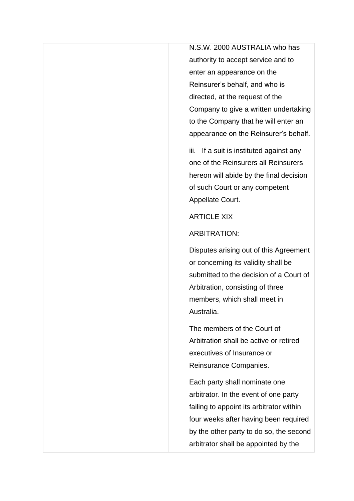N.S.W. 2000 AUSTRALIA who has authority to accept service and to enter an appearance on the Reinsurer's behalf, and who is directed, at the request of the Company to give a written undertaking to the Company that he will enter an appearance on the Reinsurer's behalf.

iii. If a suit is instituted against any one of the Reinsurers all Reinsurers hereon will abide by the final decision of such Court or any competent Appellate Court.

# ARTICLE XIX

# ARBITRATION:

Disputes arising out of this Agreement or concerning its validity shall be submitted to the decision of a Court of Arbitration, consisting of three members, which shall meet in Australia.

The members of the Court of Arbitration shall be active or retired executives of Insurance or Reinsurance Companies.

Each party shall nominate one arbitrator. In the event of one party failing to appoint its arbitrator within four weeks after having been required by the other party to do so, the second arbitrator shall be appointed by the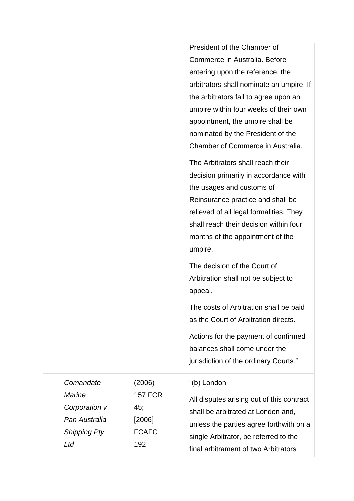|                                                                                            |                                                                  | President of the Chamber of<br>Commerce in Australia, Before<br>entering upon the reference, the<br>arbitrators shall nominate an umpire. If<br>the arbitrators fail to agree upon an<br>umpire within four weeks of their own<br>appointment, the umpire shall be<br>nominated by the President of the<br>Chamber of Commerce in Australia.<br>The Arbitrators shall reach their<br>decision primarily in accordance with<br>the usages and customs of<br>Reinsurance practice and shall be |
|--------------------------------------------------------------------------------------------|------------------------------------------------------------------|----------------------------------------------------------------------------------------------------------------------------------------------------------------------------------------------------------------------------------------------------------------------------------------------------------------------------------------------------------------------------------------------------------------------------------------------------------------------------------------------|
|                                                                                            |                                                                  | relieved of all legal formalities. They<br>shall reach their decision within four<br>months of the appointment of the<br>umpire.                                                                                                                                                                                                                                                                                                                                                             |
|                                                                                            |                                                                  | The decision of the Court of<br>Arbitration shall not be subject to<br>appeal.                                                                                                                                                                                                                                                                                                                                                                                                               |
|                                                                                            |                                                                  | The costs of Arbitration shall be paid<br>as the Court of Arbitration directs.                                                                                                                                                                                                                                                                                                                                                                                                               |
|                                                                                            |                                                                  | Actions for the payment of confirmed<br>balances shall come under the<br>jurisdiction of the ordinary Courts."                                                                                                                                                                                                                                                                                                                                                                               |
| Comandate<br><b>Marine</b><br>Corporation v<br>Pan Australia<br><b>Shipping Pty</b><br>Ltd | (2006)<br><b>157 FCR</b><br>45;<br>[2006]<br><b>FCAFC</b><br>192 | "(b) London<br>All disputes arising out of this contract<br>shall be arbitrated at London and,<br>unless the parties agree forthwith on a<br>single Arbitrator, be referred to the<br>final arbitrament of two Arbitrators                                                                                                                                                                                                                                                                   |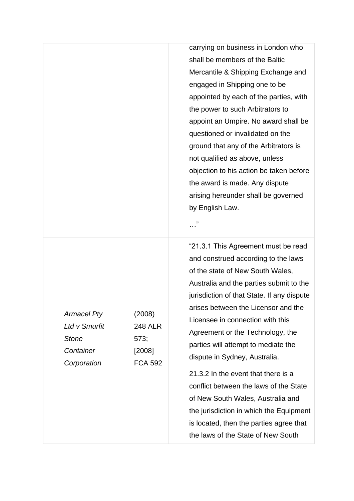| carrying on business in London who      |
|-----------------------------------------|
| shall be members of the Baltic          |
| Mercantile & Shipping Exchange and      |
| engaged in Shipping one to be           |
| appointed by each of the parties, with  |
| the power to such Arbitrators to        |
| appoint an Umpire. No award shall be    |
| questioned or invalidated on the        |
| ground that any of the Arbitrators is   |
| not qualified as above, unless          |
| objection to his action be taken before |
| the award is made. Any dispute          |
| arising hereunder shall be governed     |
| by English Law.                         |

…"

"21.3.1 This Agreement must be read and construed according to the laws of the state of New South Wales, Australia and the parties submit to the jurisdiction of that State. If any dispute arises between the Licensor and the Licensee in connection with this Agreement or the Technology, the parties will attempt to mediate the dispute in Sydney, Australia.

21.3.2 In the event that there is a conflict between the laws of the State of New South Wales, Australia and the jurisdiction in which the Equipment is located, then the parties agree that the laws of the State of New South

| <b>Armacel Pty</b> | (2008)         |
|--------------------|----------------|
| Ltd v Smurfit      | <b>248 ALR</b> |
| Stone              | 573;           |
| Container          | [2008]         |
| Corporation        | <b>FCA 592</b> |
|                    |                |
|                    |                |
|                    |                |
|                    |                |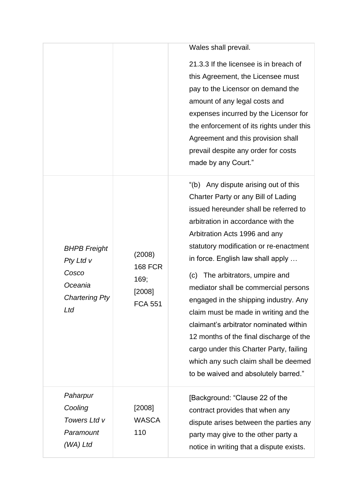|                                                                                      |                                                              | Wales shall prevail.<br>21.3.3 If the licensee is in breach of<br>this Agreement, the Licensee must<br>pay to the Licensor on demand the<br>amount of any legal costs and<br>expenses incurred by the Licensor for<br>the enforcement of its rights under this<br>Agreement and this provision shall<br>prevail despite any order for costs<br>made by any Court."                                                                                                                                                                                                                                                                                         |
|--------------------------------------------------------------------------------------|--------------------------------------------------------------|------------------------------------------------------------------------------------------------------------------------------------------------------------------------------------------------------------------------------------------------------------------------------------------------------------------------------------------------------------------------------------------------------------------------------------------------------------------------------------------------------------------------------------------------------------------------------------------------------------------------------------------------------------|
| <b>BHPB Freight</b><br>Pty Ltd v<br>Cosco<br>Oceania<br><b>Chartering Pty</b><br>Ltd | (2008)<br><b>168 FCR</b><br>169;<br>[2008]<br><b>FCA 551</b> | Any dispute arising out of this<br>"(b)<br>Charter Party or any Bill of Lading<br>issued hereunder shall be referred to<br>arbitration in accordance with the<br>Arbitration Acts 1996 and any<br>statutory modification or re-enactment<br>in force. English law shall apply<br>(c) The arbitrators, umpire and<br>mediator shall be commercial persons<br>engaged in the shipping industry. Any<br>claim must be made in writing and the<br>claimant's arbitrator nominated within<br>12 months of the final discharge of the<br>cargo under this Charter Party, failing<br>which any such claim shall be deemed<br>to be waived and absolutely barred." |
| Paharpur<br>Cooling<br>Towers Ltd v<br>Paramount<br>$(WA)$ Ltd                       | $[2008]$<br><b>WASCA</b><br>110                              | [Background: "Clause 22 of the<br>contract provides that when any<br>dispute arises between the parties any<br>party may give to the other party a<br>notice in writing that a dispute exists.                                                                                                                                                                                                                                                                                                                                                                                                                                                             |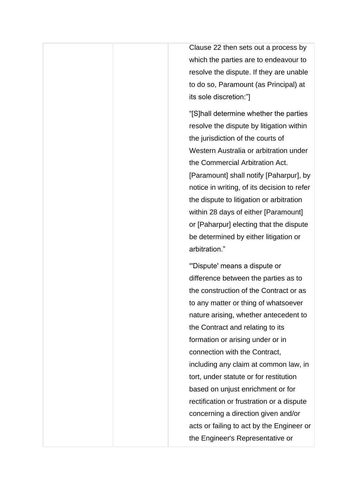Clause 22 then sets out a process by which the parties are to endeavour to resolve the dispute. If they are unable to do so, Paramount (as Principal) at its sole discretion:"]

"[S]hall determine whether the parties resolve the dispute by litigation within the jurisdiction of the courts of Western Australia or arbitration under the Commercial Arbitration Act. [Paramount] shall notify [Paharpur], by notice in writing, of its decision to refer the dispute to litigation or arbitration within 28 days of either [Paramount] or [Paharpur] electing that the dispute be determined by either litigation or arbitration."

"'Dispute' means a dispute or difference between the parties as to the construction of the Contract or as to any matter or thing of whatsoever nature arising, whether antecedent to the Contract and relating to its formation or arising under or in connection with the Contract, including any claim at common law, in tort, under statute or for restitution based on unjust enrichment or for rectification or frustration or a dispute concerning a direction given and/or acts or failing to act by the Engineer or the Engineer's Representative or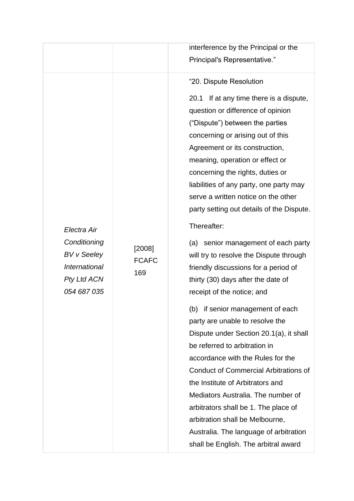|                                                                                                         |                               | interference by the Principal or the                                                                                                                                                                                                                                                                                                                                                                                                                                                                                                                                                                                                                                                                                                                                                                                                                                                                                                                                                                                                                                           |
|---------------------------------------------------------------------------------------------------------|-------------------------------|--------------------------------------------------------------------------------------------------------------------------------------------------------------------------------------------------------------------------------------------------------------------------------------------------------------------------------------------------------------------------------------------------------------------------------------------------------------------------------------------------------------------------------------------------------------------------------------------------------------------------------------------------------------------------------------------------------------------------------------------------------------------------------------------------------------------------------------------------------------------------------------------------------------------------------------------------------------------------------------------------------------------------------------------------------------------------------|
|                                                                                                         |                               | Principal's Representative."                                                                                                                                                                                                                                                                                                                                                                                                                                                                                                                                                                                                                                                                                                                                                                                                                                                                                                                                                                                                                                                   |
| Electra Air<br>Conditioning<br><b>BV</b> v Seeley<br><b>International</b><br>Pty Ltd ACN<br>054 687 035 | [2008]<br><b>FCAFC</b><br>169 | "20. Dispute Resolution<br>If at any time there is a dispute,<br>20.1<br>question or difference of opinion<br>("Dispute") between the parties<br>concerning or arising out of this<br>Agreement or its construction,<br>meaning, operation or effect or<br>concerning the rights, duties or<br>liabilities of any party, one party may<br>serve a written notice on the other<br>party setting out details of the Dispute.<br>Thereafter:<br>(a) senior management of each party<br>will try to resolve the Dispute through<br>friendly discussions for a period of<br>thirty (30) days after the date of<br>receipt of the notice; and<br>(b) if senior management of each<br>party are unable to resolve the<br>Dispute under Section 20.1(a), it shall<br>be referred to arbitration in<br>accordance with the Rules for the<br><b>Conduct of Commercial Arbitrations of</b><br>the Institute of Arbitrators and<br>Mediators Australia. The number of<br>arbitrators shall be 1. The place of<br>arbitration shall be Melbourne,<br>Australia. The language of arbitration |
|                                                                                                         |                               | shall be English. The arbitral award                                                                                                                                                                                                                                                                                                                                                                                                                                                                                                                                                                                                                                                                                                                                                                                                                                                                                                                                                                                                                                           |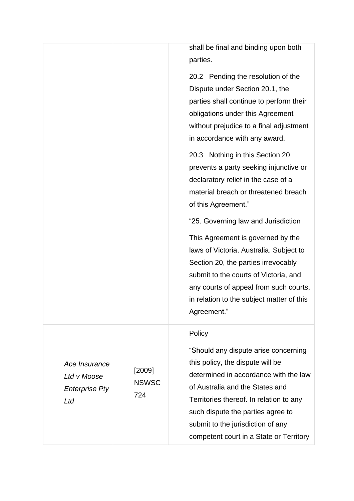|                               | shall be final and binding upon both<br>parties.                                                                                                                                                                                                                                                                                      |
|-------------------------------|---------------------------------------------------------------------------------------------------------------------------------------------------------------------------------------------------------------------------------------------------------------------------------------------------------------------------------------|
|                               | 20.2 Pending the resolution of the<br>Dispute under Section 20.1, the<br>parties shall continue to perform their<br>obligations under this Agreement<br>without prejudice to a final adjustment<br>in accordance with any award.                                                                                                      |
|                               | 20.3 Nothing in this Section 20<br>prevents a party seeking injunctive or<br>declaratory relief in the case of a<br>material breach or threatened breach<br>of this Agreement."                                                                                                                                                       |
|                               | "25. Governing law and Jurisdiction                                                                                                                                                                                                                                                                                                   |
|                               | This Agreement is governed by the<br>laws of Victoria, Australia. Subject to<br>Section 20, the parties irrevocably<br>submit to the courts of Victoria, and<br>any courts of appeal from such courts,<br>in relation to the subject matter of this<br>Agreement."                                                                    |
| [2009]<br><b>NSWSC</b><br>724 | <b>Policy</b><br>"Should any dispute arise concerning<br>this policy, the dispute will be<br>determined in accordance with the law<br>of Australia and the States and<br>Territories thereof. In relation to any<br>such dispute the parties agree to<br>submit to the jurisdiction of any<br>competent court in a State or Territory |
|                               |                                                                                                                                                                                                                                                                                                                                       |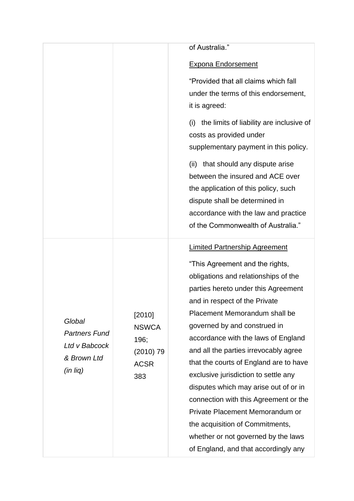|                                                                                 |                                                                     | of Australia."                                                                                                                                                                                                                                                                                                                                                                                                                                                                                                                                                                                                            |
|---------------------------------------------------------------------------------|---------------------------------------------------------------------|---------------------------------------------------------------------------------------------------------------------------------------------------------------------------------------------------------------------------------------------------------------------------------------------------------------------------------------------------------------------------------------------------------------------------------------------------------------------------------------------------------------------------------------------------------------------------------------------------------------------------|
|                                                                                 |                                                                     | <b>Expona Endorsement</b>                                                                                                                                                                                                                                                                                                                                                                                                                                                                                                                                                                                                 |
|                                                                                 |                                                                     | "Provided that all claims which fall<br>under the terms of this endorsement,<br>it is agreed:                                                                                                                                                                                                                                                                                                                                                                                                                                                                                                                             |
|                                                                                 |                                                                     | the limits of liability are inclusive of<br>(i)<br>costs as provided under<br>supplementary payment in this policy.                                                                                                                                                                                                                                                                                                                                                                                                                                                                                                       |
|                                                                                 |                                                                     | (ii) that should any dispute arise<br>between the insured and ACE over<br>the application of this policy, such<br>dispute shall be determined in<br>accordance with the law and practice<br>of the Commonwealth of Australia."                                                                                                                                                                                                                                                                                                                                                                                            |
|                                                                                 |                                                                     | <b>Limited Partnership Agreement</b>                                                                                                                                                                                                                                                                                                                                                                                                                                                                                                                                                                                      |
| Global<br><b>Partners Fund</b><br>Ltd v Babcock<br>& Brown Ltd<br>$(in$ lig $)$ | [2010]<br><b>NSWCA</b><br>196;<br>$(2010)$ 79<br><b>ACSR</b><br>383 | "This Agreement and the rights,<br>obligations and relationships of the<br>parties hereto under this Agreement<br>and in respect of the Private<br>Placement Memorandum shall be<br>governed by and construed in<br>accordance with the laws of England<br>and all the parties irrevocably agree<br>that the courts of England are to have<br>exclusive jurisdiction to settle any<br>disputes which may arise out of or in<br>connection with this Agreement or the<br>Private Placement Memorandum or<br>the acquisition of Commitments,<br>whether or not governed by the laws<br>of England, and that accordingly any |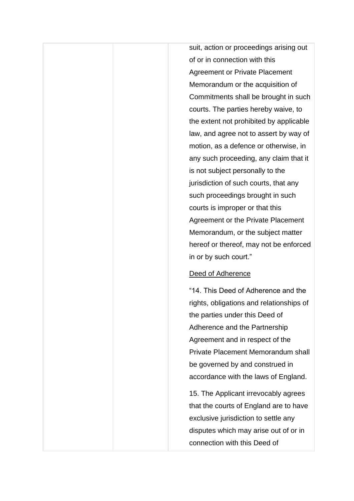suit, action or proceedings arising out of or in connection with this Agreement or Private Placement Memorandum or the acquisition of Commitments shall be brought in such courts. The parties hereby waive, to the extent not prohibited by applicable law, and agree not to assert by way of motion, as a defence or otherwise, in any such proceeding, any claim that it is not subject personally to the jurisdiction of such courts, that any such proceedings brought in such courts is improper or that this Agreement or the Private Placement Memorandum, or the subject matter hereof or thereof, may not be enforced in or by such court."

## Deed of Adherence

"14. This Deed of Adherence and the rights, obligations and relationships of the parties under this Deed of Adherence and the Partnership Agreement and in respect of the Private Placement Memorandum shall be governed by and construed in accordance with the laws of England.

15. The Applicant irrevocably agrees that the courts of England are to have exclusive jurisdiction to settle any disputes which may arise out of or in connection with this Deed of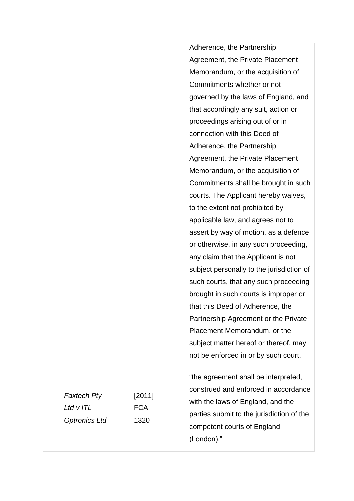|                                                         |                              | Adherence, the Partnership<br>Agreement, the Private Placement<br>Memorandum, or the acquisition of<br>Commitments whether or not<br>governed by the laws of England, and<br>that accordingly any suit, action or<br>proceedings arising out of or in<br>connection with this Deed of<br>Adherence, the Partnership<br>Agreement, the Private Placement<br>Memorandum, or the acquisition of<br>Commitments shall be brought in such<br>courts. The Applicant hereby waives,<br>to the extent not prohibited by<br>applicable law, and agrees not to<br>assert by way of motion, as a defence<br>or otherwise, in any such proceeding,<br>any claim that the Applicant is not<br>subject personally to the jurisdiction of<br>such courts, that any such proceeding<br>brought in such courts is improper or<br>that this Deed of Adherence, the<br>Partnership Agreement or the Private<br>Placement Memorandum, or the<br>subject matter hereof or thereof, may<br>not be enforced in or by such court. |
|---------------------------------------------------------|------------------------------|-----------------------------------------------------------------------------------------------------------------------------------------------------------------------------------------------------------------------------------------------------------------------------------------------------------------------------------------------------------------------------------------------------------------------------------------------------------------------------------------------------------------------------------------------------------------------------------------------------------------------------------------------------------------------------------------------------------------------------------------------------------------------------------------------------------------------------------------------------------------------------------------------------------------------------------------------------------------------------------------------------------|
|                                                         |                              |                                                                                                                                                                                                                                                                                                                                                                                                                                                                                                                                                                                                                                                                                                                                                                                                                                                                                                                                                                                                           |
| <b>Faxtech Pty</b><br>Ltd v ITL<br><b>Optronics Ltd</b> | [2011]<br><b>FCA</b><br>1320 | "the agreement shall be interpreted,<br>construed and enforced in accordance<br>with the laws of England, and the<br>parties submit to the jurisdiction of the<br>competent courts of England<br>(London)."                                                                                                                                                                                                                                                                                                                                                                                                                                                                                                                                                                                                                                                                                                                                                                                               |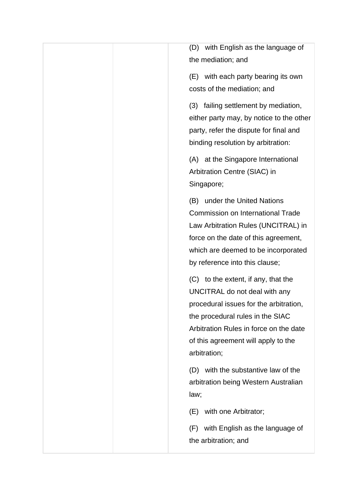(D) with English as the language of the mediation; and

(E) with each party bearing its own costs of the mediation; and

(3) failing settlement by mediation, either party may, by notice to the other party, refer the dispute for final and binding resolution by arbitration:

(A) at the Singapore International Arbitration Centre (SIAC) in Singapore;

(B) under the United Nations Commission on International Trade Law Arbitration Rules (UNCITRAL) in force on the date of this agreement, which are deemed to be incorporated by reference into this clause;

(C) to the extent, if any, that the UNCITRAL do not deal with any procedural issues for the arbitration, the procedural rules in the SIAC Arbitration Rules in force on the date of this agreement will apply to the arbitration;

(D) with the substantive law of the arbitration being Western Australian law;

(E) with one Arbitrator;

(F) with English as the language of the arbitration; and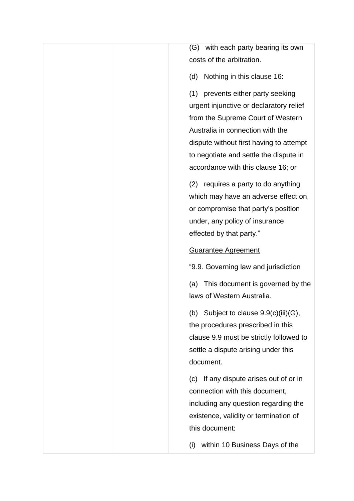(G) with each party bearing its own costs of the arbitration.

(d) Nothing in this clause 16:

(1) prevents either party seeking urgent injunctive or declaratory relief from the Supreme Court of Western Australia in connection with the dispute without first having to attempt to negotiate and settle the dispute in accordance with this clause 16; or

(2) requires a party to do anything which may have an adverse effect on, or compromise that party's position under, any policy of insurance effected by that party."

## Guarantee Agreement

"9.9. Governing law and jurisdiction

(a) This document is governed by the laws of Western Australia.

(b) Subject to clause 9.9(c)(iii)(G), the procedures prescribed in this clause 9.9 must be strictly followed to settle a dispute arising under this document.

(c) If any dispute arises out of or in connection with this document, including any question regarding the existence, validity or termination of this document:

(i) within 10 Business Days of the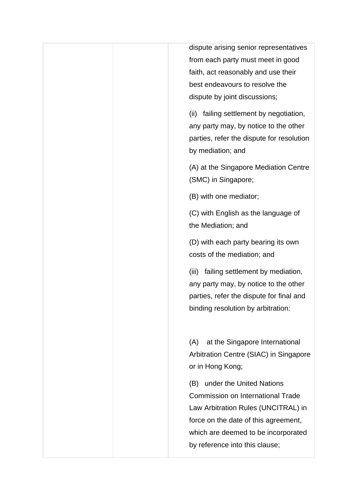dispute arising senior representatives from each party must meet in good faith, act reasonably and use their best endeavours to resolve the dispute by joint discussions; (ii) failing settlement by negotiation, any party may, by notice to the other parties, refer the dispute for resolution by mediation; and (A) at the Singapore Mediation Centre (SMC) in Singapore; (B) with one mediator; (C) with English as the language of the Mediation; and (D) with each party bearing its own costs of the mediation; and (iii) failing settlement by mediation, any party may, by notice to the other parties, refer the dispute for final and binding resolution by arbitration: (A) at the Singapore International Arbitration Centre (SIAC) in Singapore or in Hong Kong; (B) under the United Nations Commission on International Trade Law Arbitration Rules (UNCITRAL) in force on the date of this agreement, which are deemed to be incorporated by reference into this clause;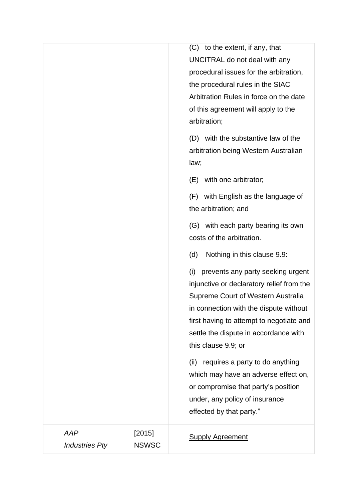| AAP<br><b>Industries Pty</b> | [2015]<br><b>NSWSC</b> | prevents any party seeking urgent<br>(i)<br>injunctive or declaratory relief from the<br>Supreme Court of Western Australia<br>in connection with the dispute without<br>first having to attempt to negotiate and<br>settle the dispute in accordance with<br>this clause 9.9; or<br>(ii) requires a party to do anything<br>which may have an adverse effect on,<br>or compromise that party's position<br>under, any policy of insurance<br>effected by that party."<br><b>Supply Agreement</b> |
|------------------------------|------------------------|---------------------------------------------------------------------------------------------------------------------------------------------------------------------------------------------------------------------------------------------------------------------------------------------------------------------------------------------------------------------------------------------------------------------------------------------------------------------------------------------------|
|                              |                        | with English as the language of<br>(F)<br>the arbitration; and<br>(G) with each party bearing its own<br>costs of the arbitration.<br>(d)<br>Nothing in this clause 9.9:                                                                                                                                                                                                                                                                                                                          |
|                              |                        | with the substantive law of the<br>(D)<br>arbitration being Western Australian<br>law;<br>with one arbitrator;<br>(E)                                                                                                                                                                                                                                                                                                                                                                             |
|                              |                        | to the extent, if any, that<br>(C)<br>UNCITRAL do not deal with any<br>procedural issues for the arbitration,<br>the procedural rules in the SIAC<br>Arbitration Rules in force on the date<br>of this agreement will apply to the<br>arbitration;                                                                                                                                                                                                                                                |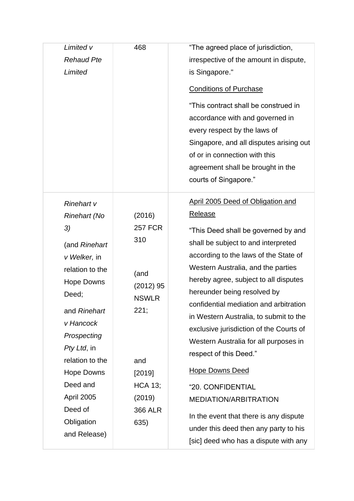| Limited v                            | 468                      | "The agreed place of jurisdiction,                                                                                                                                                                                                                |
|--------------------------------------|--------------------------|---------------------------------------------------------------------------------------------------------------------------------------------------------------------------------------------------------------------------------------------------|
| <b>Rehaud Pte</b>                    |                          | irrespective of the amount in dispute,                                                                                                                                                                                                            |
| Limited                              |                          | is Singapore."                                                                                                                                                                                                                                    |
|                                      |                          | <b>Conditions of Purchase</b>                                                                                                                                                                                                                     |
|                                      |                          | "This contract shall be construed in<br>accordance with and governed in<br>every respect by the laws of<br>Singapore, and all disputes arising out<br>of or in connection with this<br>agreement shall be brought in the<br>courts of Singapore." |
| Rinehart v<br><b>Rinehart (No</b>    | (2016)                   | April 2005 Deed of Obligation and<br>Release                                                                                                                                                                                                      |
| 3)                                   | <b>257 FCR</b>           | "This Deed shall be governed by and                                                                                                                                                                                                               |
|                                      | 310                      | shall be subject to and interpreted                                                                                                                                                                                                               |
| (and Rinehart                        |                          | according to the laws of the State of                                                                                                                                                                                                             |
| v Welker, in<br>relation to the      |                          | Western Australia, and the parties                                                                                                                                                                                                                |
| <b>Hope Downs</b>                    | (and                     | hereby agree, subject to all disputes                                                                                                                                                                                                             |
| Deed;                                | $(2012)$ 95              | hereunder being resolved by                                                                                                                                                                                                                       |
|                                      | <b>NSWLR</b>             | confidential mediation and arbitration                                                                                                                                                                                                            |
| and Rinehart                         | 221;                     | in Western Australia, to submit to the                                                                                                                                                                                                            |
| v Hancock                            |                          | exclusive jurisdiction of the Courts of                                                                                                                                                                                                           |
| Prospecting                          |                          | Western Australia for all purposes in                                                                                                                                                                                                             |
| Pty Ltd, in                          |                          | respect of this Deed."                                                                                                                                                                                                                            |
| relation to the<br><b>Hope Downs</b> | and                      | <b>Hope Downs Deed</b>                                                                                                                                                                                                                            |
| Deed and                             | [2019]<br><b>HCA 13;</b> |                                                                                                                                                                                                                                                   |
| April 2005                           | (2019)                   | "20. CONFIDENTIAL                                                                                                                                                                                                                                 |
| Deed of                              | 366 ALR                  | <b>MEDIATION/ARBITRATION</b>                                                                                                                                                                                                                      |
| Obligation                           | 635)                     | In the event that there is any dispute                                                                                                                                                                                                            |
| and Release)                         |                          | under this deed then any party to his                                                                                                                                                                                                             |
|                                      |                          | [sic] deed who has a dispute with any                                                                                                                                                                                                             |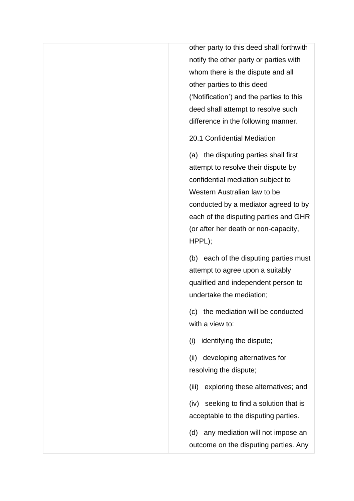| other party to this deed shall forthwith<br>notify the other party or parties with |
|------------------------------------------------------------------------------------|
| whom there is the dispute and all                                                  |
| other parties to this deed                                                         |
| ('Notification') and the parties to this                                           |
| deed shall attempt to resolve such                                                 |
| difference in the following manner.                                                |
| 20.1 Confidential Mediation                                                        |
| (a) the disputing parties shall first                                              |
| attempt to resolve their dispute by                                                |
| confidential mediation subject to                                                  |
| Western Australian law to be                                                       |
| conducted by a mediator agreed to by                                               |
| each of the disputing parties and GHR                                              |
| (or after her death or non-capacity,                                               |
| HPPL);                                                                             |
| (b) each of the disputing parties must                                             |
| attempt to agree upon a suitably                                                   |
| qualified and independent person to                                                |
| undertake the mediation;                                                           |
| the mediation will be conducted<br>$\left( c\right)$                               |
| with a view to:                                                                    |
| identifying the dispute;<br>(i)                                                    |
| developing alternatives for<br>(ii)                                                |
| resolving the dispute;                                                             |
| exploring these alternatives; and<br>(iii)                                         |
| seeking to find a solution that is<br>(iv)                                         |
| acceptable to the disputing parties.                                               |
| any mediation will not impose an<br>(d)                                            |
| outcome on the disputing parties. Any                                              |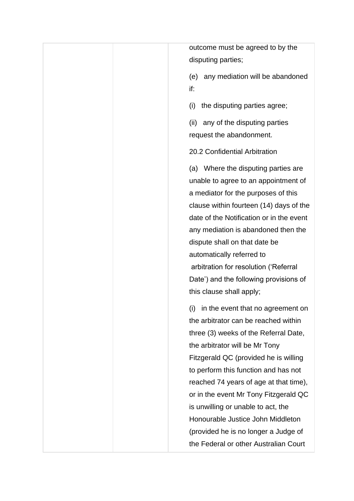outcome must be agreed to by the disputing parties;

(e) any mediation will be abandoned if:

(i) the disputing parties agree;

(ii) any of the disputing parties request the abandonment.

20.2 Confidential Arbitration

(a) Where the disputing parties are unable to agree to an appointment of a mediator for the purposes of this clause within fourteen (14) days of the date of the Notification or in the event any mediation is abandoned then the dispute shall on that date be automatically referred to arbitration for resolution ('Referral Date') and the following provisions of this clause shall apply;

(i) in the event that no agreement on the arbitrator can be reached within three (3) weeks of the Referral Date, the arbitrator will be Mr Tony Fitzgerald QC (provided he is willing to perform this function and has not reached 74 years of age at that time), or in the event Mr Tony Fitzgerald QC is unwilling or unable to act, the Honourable Justice John Middleton (provided he is no longer a Judge of the Federal or other Australian Court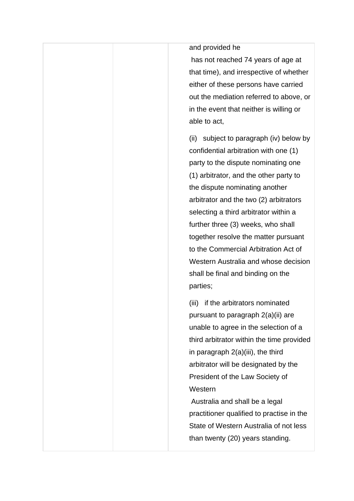#### and provided he

has not reached 74 years of age at that time), and irrespective of whether either of these persons have carried out the mediation referred to above, or in the event that neither is willing or able to act,

(ii) subject to paragraph (iv) below by confidential arbitration with one (1) party to the dispute nominating one (1) arbitrator, and the other party to the dispute nominating another arbitrator and the two (2) arbitrators selecting a third arbitrator within a further three (3) weeks, who shall together resolve the matter pursuant to the Commercial Arbitration Act of Western Australia and whose decision shall be final and binding on the parties;

(iii) if the arbitrators nominated pursuant to paragraph 2(a)(ii) are unable to agree in the selection of a third arbitrator within the time provided in paragraph 2(a)(iii), the third arbitrator will be designated by the President of the Law Society of **Western** 

Australia and shall be a legal practitioner qualified to practise in the State of Western Australia of not less than twenty (20) years standing.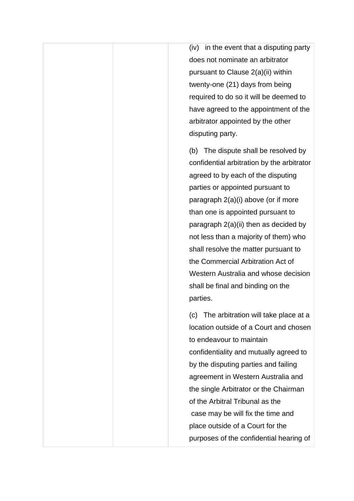(iv) in the event that a disputing party does not nominate an arbitrator pursuant to Clause 2(a)(ii) within twenty-one (21) days from being required to do so it will be deemed to have agreed to the appointment of the arbitrator appointed by the other disputing party.

(b) The dispute shall be resolved by confidential arbitration by the arbitrator agreed to by each of the disputing parties or appointed pursuant to paragraph 2(a)(i) above (or if more than one is appointed pursuant to paragraph 2(a)(ii) then as decided by not less than a majority of them) who shall resolve the matter pursuant to the Commercial Arbitration Act of Western Australia and whose decision shall be final and binding on the parties.

(c) The arbitration will take place at a location outside of a Court and chosen to endeavour to maintain confidentiality and mutually agreed to by the disputing parties and failing agreement in Western Australia and the single Arbitrator or the Chairman of the Arbitral Tribunal as the case may be will fix the time and place outside of a Court for the purposes of the confidential hearing of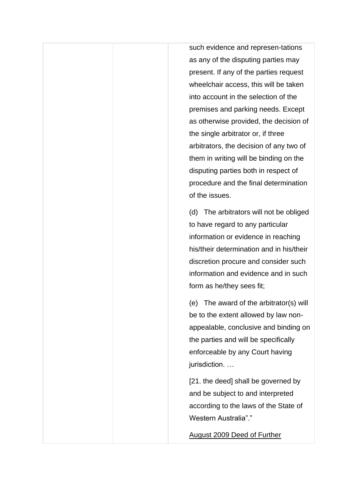such evidence and represen-tations as any of the disputing parties may present. If any of the parties request wheelchair access, this will be taken into account in the selection of the premises and parking needs. Except as otherwise provided, the decision of the single arbitrator or, if three arbitrators, the decision of any two of them in writing will be binding on the disputing parties both in respect of procedure and the final determination of the issues.

(d) The arbitrators will not be obliged to have regard to any particular information or evidence in reaching his/their determination and in his/their discretion procure and consider such information and evidence and in such form as he/they sees fit;

(e) The award of the arbitrator(s) will be to the extent allowed by law nonappealable, conclusive and binding on the parties and will be specifically enforceable by any Court having jurisdiction. …

[21. the deed] shall be governed by and be subject to and interpreted according to the laws of the State of Western Australia"."

August 2009 Deed of Further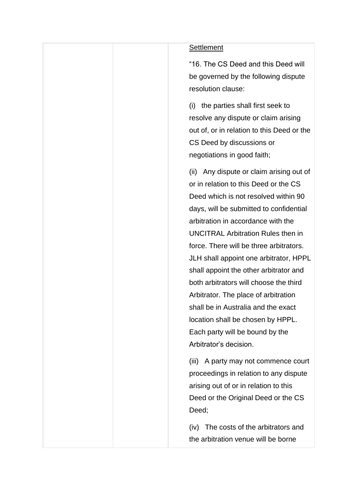## **Settlement**

"16. The CS Deed and this Deed will be governed by the following dispute resolution clause:

(i) the parties shall first seek to resolve any dispute or claim arising out of, or in relation to this Deed or the CS Deed by discussions or negotiations in good faith;

(ii) Any dispute or claim arising out of or in relation to this Deed or the CS Deed which is not resolved within 90 days, will be submitted to confidential arbitration in accordance with the UNCITRAL Arbitration Rules then in force. There will be three arbitrators. JLH shall appoint one arbitrator, HPPL shall appoint the other arbitrator and both arbitrators will choose the third Arbitrator. The place of arbitration shall be in Australia and the exact location shall be chosen by HPPL. Each party will be bound by the Arbitrator's decision.

(iii) A party may not commence court proceedings in relation to any dispute arising out of or in relation to this Deed or the Original Deed or the CS Deed;

(iv) The costs of the arbitrators and the arbitration venue will be borne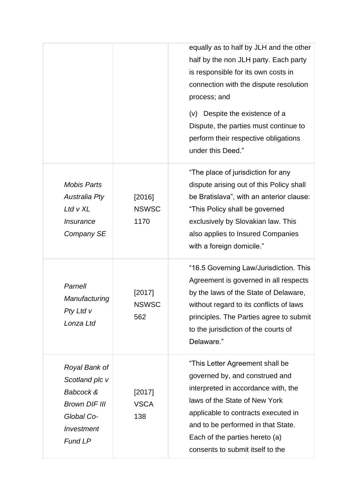|                                                                                                                    |                                | equally as to half by JLH and the other<br>half by the non JLH party. Each party<br>is responsible for its own costs in<br>connection with the dispute resolution<br>process; and<br>(v) Despite the existence of a<br>Dispute, the parties must continue to<br>perform their respective obligations<br>under this Deed." |
|--------------------------------------------------------------------------------------------------------------------|--------------------------------|---------------------------------------------------------------------------------------------------------------------------------------------------------------------------------------------------------------------------------------------------------------------------------------------------------------------------|
| <b>Mobis Parts</b><br><b>Australia Pty</b><br>$Ltd$ v $XL$<br><i><b>Insurance</b></i><br>Company SE                | [2016]<br><b>NSWSC</b><br>1170 | "The place of jurisdiction for any<br>dispute arising out of this Policy shall<br>be Bratislava", with an anterior clause:<br>"This Policy shall be governed<br>exclusively by Slovakian law. This<br>also applies to Insured Companies<br>with a foreign domicile."                                                      |
| Parnell<br>Manufacturing<br>Pty Ltd v<br>Lonza Ltd                                                                 | [2017]<br><b>NSWSC</b><br>562  | "16.5 Governing Law/Jurisdiction. This<br>Agreement is governed in all respects<br>by the laws of the State of Delaware,<br>without regard to its conflicts of laws<br>principles. The Parties agree to submit<br>to the jurisdiction of the courts of<br>Delaware."                                                      |
| Royal Bank of<br>Scotland plc v<br>Babcock &<br><b>Brown DIF III</b><br>Global Co-<br>Investment<br><b>Fund LP</b> | [2017]<br><b>VSCA</b><br>138   | "This Letter Agreement shall be<br>governed by, and construed and<br>interpreted in accordance with, the<br>laws of the State of New York<br>applicable to contracts executed in<br>and to be performed in that State.<br>Each of the parties hereto (a)<br>consents to submit itself to the                              |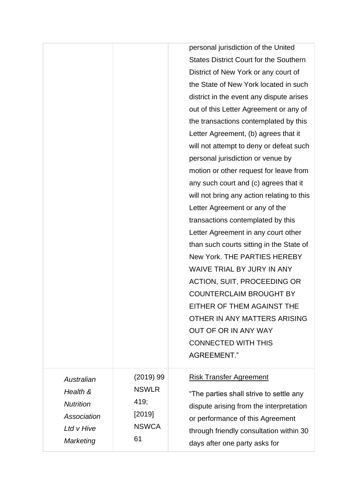|                                                                         |                                                                     | personal jurisdiction of the United<br><b>States District Court for the Southern</b><br>District of New York or any court of<br>the State of New York located in such<br>district in the event any dispute arises<br>out of this Letter Agreement or any of<br>the transactions contemplated by this<br>Letter Agreement, (b) agrees that it<br>will not attempt to deny or defeat such<br>personal jurisdiction or venue by<br>motion or other request for leave from<br>any such court and (c) agrees that it<br>will not bring any action relating to this<br>Letter Agreement or any of the<br>transactions contemplated by this<br>Letter Agreement in any court other<br>than such courts sitting in the State of<br><b>New York. THE PARTIES HEREBY</b><br>WAIVE TRIAL BY JURY IN ANY<br><b>ACTION, SUIT, PROCEEDING OR</b><br><b>COUNTERCLAIM BROUGHT BY</b><br>FITHER OF THEM AGAINST THE<br>OTHER IN ANY MATTERS ARISING<br><b>OUT OF OR IN ANY WAY</b><br><b>CONNECTED WITH THIS</b> |
|-------------------------------------------------------------------------|---------------------------------------------------------------------|-------------------------------------------------------------------------------------------------------------------------------------------------------------------------------------------------------------------------------------------------------------------------------------------------------------------------------------------------------------------------------------------------------------------------------------------------------------------------------------------------------------------------------------------------------------------------------------------------------------------------------------------------------------------------------------------------------------------------------------------------------------------------------------------------------------------------------------------------------------------------------------------------------------------------------------------------------------------------------------------------|
|                                                                         |                                                                     |                                                                                                                                                                                                                                                                                                                                                                                                                                                                                                                                                                                                                                                                                                                                                                                                                                                                                                                                                                                                 |
|                                                                         |                                                                     | <b>AGREEMENT."</b>                                                                                                                                                                                                                                                                                                                                                                                                                                                                                                                                                                                                                                                                                                                                                                                                                                                                                                                                                                              |
| Australian<br>Health &<br><b>Nutrition</b><br>Association<br>Ltd v Hive | $(2019)$ 99<br><b>NSWLR</b><br>419;<br>[2019]<br><b>NSWCA</b><br>61 | <b>Risk Transfer Agreement</b><br>"The parties shall strive to settle any<br>dispute arising from the interpretation<br>or performance of this Agreement<br>through friendly consultation within 30                                                                                                                                                                                                                                                                                                                                                                                                                                                                                                                                                                                                                                                                                                                                                                                             |
| Marketing                                                               |                                                                     | days after one party asks for                                                                                                                                                                                                                                                                                                                                                                                                                                                                                                                                                                                                                                                                                                                                                                                                                                                                                                                                                                   |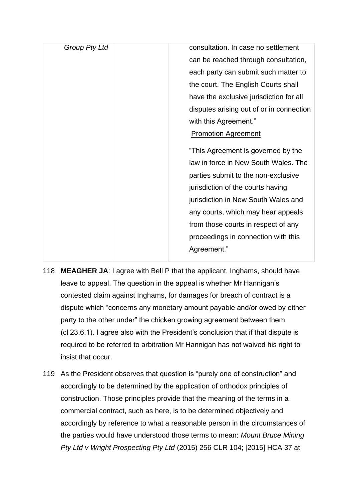| Group Pty Ltd | consultation. In case no settlement      |
|---------------|------------------------------------------|
|               | can be reached through consultation,     |
|               | each party can submit such matter to     |
|               | the court. The English Courts shall      |
|               | have the exclusive jurisdiction for all  |
|               | disputes arising out of or in connection |
|               | with this Agreement."                    |
|               | <b>Promotion Agreement</b>               |
|               | "This Agreement is governed by the       |
|               | law in force in New South Wales. The     |
|               | parties submit to the non-exclusive      |
|               | jurisdiction of the courts having        |
|               | jurisdiction in New South Wales and      |
|               | any courts, which may hear appeals       |
|               | from those courts in respect of any      |
|               | proceedings in connection with this      |
|               | Agreement."                              |
|               |                                          |

- 118 **MEAGHER JA**: I agree with Bell P that the applicant, Inghams, should have leave to appeal. The question in the appeal is whether Mr Hannigan's contested claim against Inghams, for damages for breach of contract is a dispute which "concerns any monetary amount payable and/or owed by either party to the other under" the chicken growing agreement between them (cl 23.6.1). I agree also with the President's conclusion that if that dispute is required to be referred to arbitration Mr Hannigan has not waived his right to insist that occur.
- 119 As the President observes that question is "purely one of construction" and accordingly to be determined by the application of orthodox principles of construction. Those principles provide that the meaning of the terms in a commercial contract, such as here, is to be determined objectively and accordingly by reference to what a reasonable person in the circumstances of the parties would have understood those terms to mean: *Mount Bruce Mining Pty Ltd v Wright Prospecting Pty Ltd* (2015) 256 CLR 104; [2015] HCA 37 at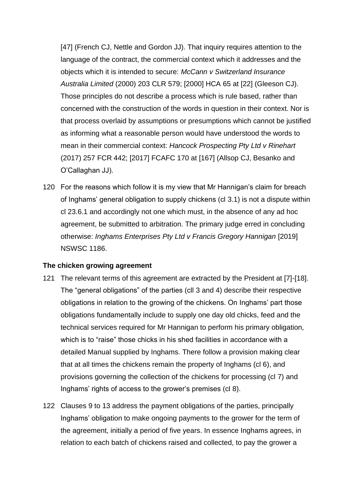[47] (French CJ, Nettle and Gordon JJ). That inquiry requires attention to the language of the contract, the commercial context which it addresses and the objects which it is intended to secure: *McCann v Switzerland Insurance Australia Limited* (2000) 203 CLR 579; [2000] HCA 65 at [22] (Gleeson CJ). Those principles do not describe a process which is rule based, rather than concerned with the construction of the words in question in their context. Nor is that process overlaid by assumptions or presumptions which cannot be justified as informing what a reasonable person would have understood the words to mean in their commercial context: *Hancock Prospecting Pty Ltd v Rinehart*  (2017) 257 FCR 442; [2017] FCAFC 170 at [167] (Allsop CJ, Besanko and O'Callaghan JJ).

120 For the reasons which follow it is my view that Mr Hannigan's claim for breach of Inghams' general obligation to supply chickens (cl 3.1) is not a dispute within cl 23.6.1 and accordingly not one which must, in the absence of any ad hoc agreement, be submitted to arbitration. The primary judge erred in concluding otherwise: *Inghams Enterprises Pty Ltd v Francis Gregory Hannigan* [2019] NSWSC 1186.

# **The chicken growing agreement**

- 121 The relevant terms of this agreement are extracted by the President at [7]-[18]. The "general obligations" of the parties (cll 3 and 4) describe their respective obligations in relation to the growing of the chickens. On Inghams' part those obligations fundamentally include to supply one day old chicks, feed and the technical services required for Mr Hannigan to perform his primary obligation, which is to "raise" those chicks in his shed facilities in accordance with a detailed Manual supplied by Inghams. There follow a provision making clear that at all times the chickens remain the property of Inghams (cl 6), and provisions governing the collection of the chickens for processing (cl 7) and Inghams' rights of access to the grower's premises (cl 8).
- 122 Clauses 9 to 13 address the payment obligations of the parties, principally Inghams' obligation to make ongoing payments to the grower for the term of the agreement, initially a period of five years. In essence Inghams agrees, in relation to each batch of chickens raised and collected, to pay the grower a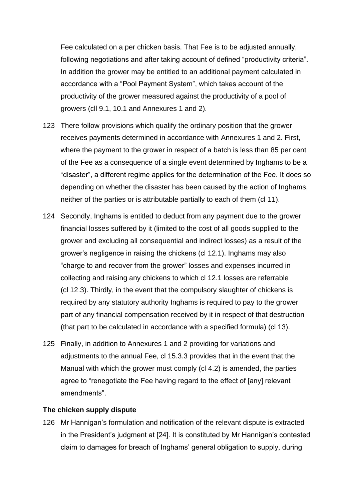Fee calculated on a per chicken basis. That Fee is to be adjusted annually, following negotiations and after taking account of defined "productivity criteria". In addition the grower may be entitled to an additional payment calculated in accordance with a "Pool Payment System", which takes account of the productivity of the grower measured against the productivity of a pool of growers (cll 9.1, 10.1 and Annexures 1 and 2).

- 123 There follow provisions which qualify the ordinary position that the grower receives payments determined in accordance with Annexures 1 and 2. First, where the payment to the grower in respect of a batch is less than 85 per cent of the Fee as a consequence of a single event determined by Inghams to be a "disaster", a different regime applies for the determination of the Fee. It does so depending on whether the disaster has been caused by the action of Inghams, neither of the parties or is attributable partially to each of them (cl 11).
- 124 Secondly, Inghams is entitled to deduct from any payment due to the grower financial losses suffered by it (limited to the cost of all goods supplied to the grower and excluding all consequential and indirect losses) as a result of the grower's negligence in raising the chickens (cl 12.1). Inghams may also "charge to and recover from the grower" losses and expenses incurred in collecting and raising any chickens to which cl 12.1 losses are referrable (cl 12.3). Thirdly, in the event that the compulsory slaughter of chickens is required by any statutory authority Inghams is required to pay to the grower part of any financial compensation received by it in respect of that destruction (that part to be calculated in accordance with a specified formula) (cl 13).
- 125 Finally, in addition to Annexures 1 and 2 providing for variations and adjustments to the annual Fee, cl 15.3.3 provides that in the event that the Manual with which the grower must comply (cl 4.2) is amended, the parties agree to "renegotiate the Fee having regard to the effect of [any] relevant amendments".

### **The chicken supply dispute**

126 Mr Hannigan's formulation and notification of the relevant dispute is extracted in the President's judgment at [24]. It is constituted by Mr Hannigan's contested claim to damages for breach of Inghams' general obligation to supply, during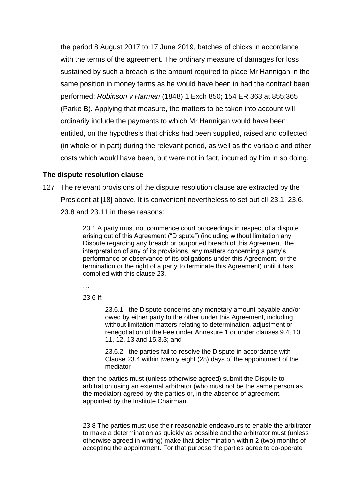the period 8 August 2017 to 17 June 2019, batches of chicks in accordance with the terms of the agreement. The ordinary measure of damages for loss sustained by such a breach is the amount required to place Mr Hannigan in the same position in money terms as he would have been in had the contract been performed: *Robinson v Harman* (1848) 1 Exch 850; 154 ER 363 at 855;365 (Parke B). Applying that measure, the matters to be taken into account will ordinarily include the payments to which Mr Hannigan would have been entitled, on the hypothesis that chicks had been supplied, raised and collected (in whole or in part) during the relevant period, as well as the variable and other costs which would have been, but were not in fact, incurred by him in so doing.

## **The dispute resolution clause**

127 The relevant provisions of the dispute resolution clause are extracted by the President at [18] above. It is convenient nevertheless to set out cll 23.1, 23.6, 23.8 and 23.11 in these reasons:

> 23.1 A party must not commence court proceedings in respect of a dispute arising out of this Agreement ("Dispute") (including without limitation any Dispute regarding any breach or purported breach of this Agreement, the interpretation of any of its provisions, any matters concerning a party's performance or observance of its obligations under this Agreement, or the termination or the right of a party to terminate this Agreement) until it has complied with this clause 23.

…

### 23.6 If:

23.6.1 the Dispute concerns any monetary amount payable and/or owed by either party to the other under this Agreement, including without limitation matters relating to determination, adjustment or renegotiation of the Fee under Annexure 1 or under clauses 9.4, 10, 11, 12, 13 and 15.3.3; and

23.6.2 the parties fail to resolve the Dispute in accordance with Clause 23.4 within twenty eight (28) days of the appointment of the mediator

then the parties must (unless otherwise agreed) submit the Dispute to arbitration using an external arbitrator (who must not be the same person as the mediator) agreed by the parties or, in the absence of agreement, appointed by the Institute Chairman.

…

23.8 The parties must use their reasonable endeavours to enable the arbitrator to make a determination as quickly as possible and the arbitrator must (unless otherwise agreed in writing) make that determination within 2 (two) months of accepting the appointment. For that purpose the parties agree to co-operate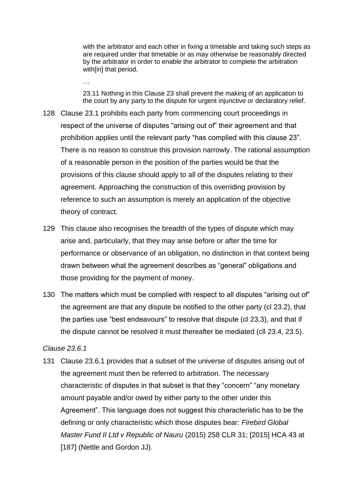with the arbitrator and each other in fixing a timetable and taking such steps as are required under that timetable or as may otherwise be reasonably directed by the arbitrator in order to enable the arbitrator to complete the arbitration with[in] that period.

23.11 Nothing in this Clause 23 shall prevent the making of an application to the court by any party to the dispute for urgent injunctive or declaratory relief.

- 128 Clause 23.1 prohibits each party from commencing court proceedings in respect of the universe of disputes "arising out of" their agreement and that prohibition applies until the relevant party "has complied with this clause 23". There is no reason to construe this provision narrowly. The rational assumption of a reasonable person in the position of the parties would be that the provisions of this clause should apply to all of the disputes relating to their agreement. Approaching the construction of this overriding provision by reference to such an assumption is merely an application of the objective theory of contract.
- 129 This clause also recognises the breadth of the types of dispute which may arise and, particularly, that they may arise before or after the time for performance or observance of an obligation, no distinction in that context being drawn between what the agreement describes as "general" obligations and those providing for the payment of money.
- 130 The matters which must be complied with respect to all disputes "arising out of" the agreement are that any dispute be notified to the other party (cl 23.2), that the parties use "best endeavours" to resolve that dispute (cl 23.3), and that if the dispute cannot be resolved it must thereafter be mediated (cll 23.4, 23.5).

# *Clause 23.6.1*

…

131 Clause 23.6.1 provides that a subset of the universe of disputes arising out of the agreement must then be referred to arbitration. The necessary characteristic of disputes in that subset is that they "concern" "any monetary amount payable and/or owed by either party to the other under this Agreement". This language does not suggest this characteristic has to be the defining or only characteristic which those disputes bear: *Firebird Global Master Fund II Ltd v Republic of Nauru* (2015) 258 CLR 31; [2015] HCA 43 at [187] (Nettle and Gordon JJ).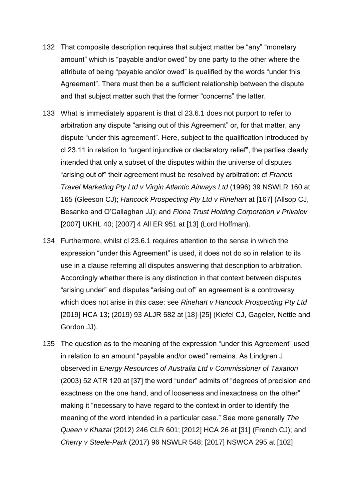- 132 That composite description requires that subject matter be "any" "monetary amount" which is "payable and/or owed" by one party to the other where the attribute of being "payable and/or owed" is qualified by the words "under this Agreement". There must then be a sufficient relationship between the dispute and that subject matter such that the former "concerns" the latter.
- 133 What is immediately apparent is that cl 23.6.1 does not purport to refer to arbitration any dispute "arising out of this Agreement" or, for that matter, any dispute "under this agreement". Here, subject to the qualification introduced by cl 23.11 in relation to "urgent injunctive or declaratory relief", the parties clearly intended that only a subset of the disputes within the universe of disputes "arising out of" their agreement must be resolved by arbitration: cf *Francis Travel Marketing Pty Ltd v Virgin Atlantic Airways Ltd* (1996) 39 NSWLR 160 at 165 (Gleeson CJ); *Hancock Prospecting Pty Ltd v Rinehart* at [167] (Allsop CJ, Besanko and O'Callaghan JJ); and *Fiona Trust Holding Corporation v Privalov*  [2007] UKHL 40; [2007] 4 All ER 951 at [13] (Lord Hoffman).
- 134 Furthermore, whilst cl 23.6.1 requires attention to the sense in which the expression "under this Agreement" is used, it does not do so in relation to its use in a clause referring all disputes answering that description to arbitration. Accordingly whether there is any distinction in that context between disputes "arising under" and disputes "arising out of" an agreement is a controversy which does not arise in this case: see *Rinehart v Hancock Prospecting Pty Ltd*  [2019] HCA 13; (2019) 93 ALJR 582 at [18]-[25] (Kiefel CJ, Gageler, Nettle and Gordon JJ).
- 135 The question as to the meaning of the expression "under this Agreement" used in relation to an amount "payable and/or owed" remains. As Lindgren J observed in *Energy Resources of Australia Ltd v Commissioner of Taxation*  (2003) 52 ATR 120 at [37] the word "under" admits of "degrees of precision and exactness on the one hand, and of looseness and inexactness on the other" making it "necessary to have regard to the context in order to identify the meaning of the word intended in a particular case." See more generally *The Queen v Khazal* (2012) 246 CLR 601; [2012] HCA 26 at [31] (French CJ); and *Cherry v Steele-Park* (2017) 96 NSWLR 548; [2017] NSWCA 295 at [102]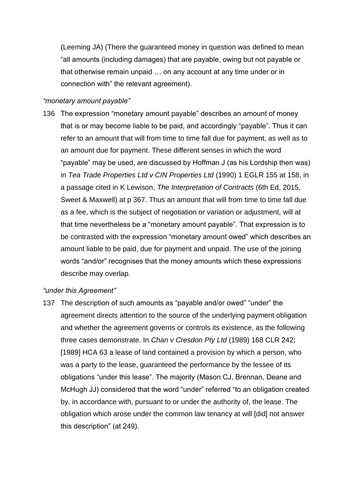(Leeming JA) (There the guaranteed money in question was defined to mean "all amounts (including damages) that are payable, owing but not payable or that otherwise remain unpaid … on any account at any time under or in connection with" the relevant agreement).

# *"monetary amount payable"*

136 The expression "monetary amount payable" describes an amount of money that is or may become liable to be paid, and accordingly "payable". Thus it can refer to an amount that will from time to time fall due for payment, as well as to an amount due for payment. These different senses in which the word "payable" may be used, are discussed by Hoffman J (as his Lordship then was) in *Tea Trade Properties Ltd v CIN Properties Ltd* (1990) 1 EGLR 155 at 158, in a passage cited in K Lewison, *The Interpretation of Contracts* (6th Ed, 2015, Sweet & Maxwell) at p 367. Thus an amount that will from time to time fall due as a fee, which is the subject of negotiation or variation or adjustment, will at that time nevertheless be a "monetary amount payable". That expression is to be contrasted with the expression "monetary amount owed" which describes an amount liable to be paid, due for payment and unpaid. The use of the joining words "and/or" recognises that the money amounts which these expressions describe may overlap.

### *"under this Agreement"*

137 The description of such amounts as "payable and/or owed" "under" the agreement directs attention to the source of the underlying payment obligation and whether the agreement governs or controls its existence, as the following three cases demonstrate. In *Chan v Cresdon Pty Ltd* (1989) 168 CLR 242; [1989] HCA 63 a lease of land contained a provision by which a person, who was a party to the lease, guaranteed the performance by the lessee of its obligations "under this lease". The majority (Mason CJ, Brennan, Deane and McHugh JJ) considered that the word "under" referred "to an obligation created by, in accordance with, pursuant to or under the authority of, the lease. The obligation which arose under the common law tenancy at will [did] not answer this description" (at 249).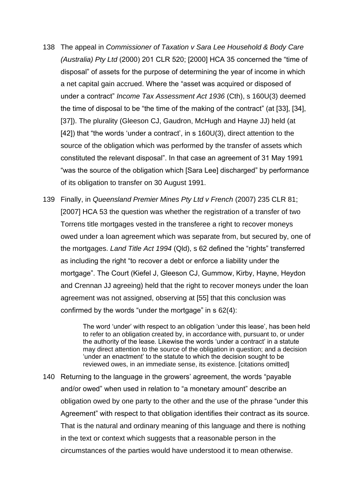- 138 The appeal in *Commissioner of Taxation v Sara Lee Household & Body Care (Australia) Pty Ltd* (2000) 201 CLR 520; [2000] HCA 35 concerned the "time of disposal" of assets for the purpose of determining the year of income in which a net capital gain accrued. Where the "asset was acquired or disposed of under a contract" *Income Tax Assessment Act 1936* (Cth), s 160U(3) deemed the time of disposal to be "the time of the making of the contract" (at [33], [34], [37]). The plurality (Gleeson CJ, Gaudron, McHugh and Hayne JJ) held (at [42]) that "the words 'under a contract', in s 160U(3), direct attention to the source of the obligation which was performed by the transfer of assets which constituted the relevant disposal". In that case an agreement of 31 May 1991 "was the source of the obligation which [Sara Lee] discharged" by performance of its obligation to transfer on 30 August 1991.
- 139 Finally, in *Queensland Premier Mines Pty Ltd v French* (2007) 235 CLR 81; [2007] HCA 53 the question was whether the registration of a transfer of two Torrens title mortgages vested in the transferee a right to recover moneys owed under a loan agreement which was separate from, but secured by, one of the mortgages. *Land Title Act 1994* (Qld), s 62 defined the "rights" transferred as including the right "to recover a debt or enforce a liability under the mortgage". The Court (Kiefel J, Gleeson CJ, Gummow, Kirby, Hayne, Heydon and Crennan JJ agreeing) held that the right to recover moneys under the loan agreement was not assigned, observing at [55] that this conclusion was confirmed by the words "under the mortgage" in s 62(4):

The word 'under' with respect to an obligation 'under this lease', has been held to refer to an obligation created by, in accordance with, pursuant to, or under the authority of the lease. Likewise the words 'under a contract' in a statute may direct attention to the source of the obligation in question; and a decision 'under an enactment' to the statute to which the decision sought to be reviewed owes, in an immediate sense, its existence. [citations omitted]

140 Returning to the language in the growers' agreement, the words "payable and/or owed" when used in relation to "a monetary amount" describe an obligation owed by one party to the other and the use of the phrase "under this Agreement" with respect to that obligation identifies their contract as its source. That is the natural and ordinary meaning of this language and there is nothing in the text or context which suggests that a reasonable person in the circumstances of the parties would have understood it to mean otherwise.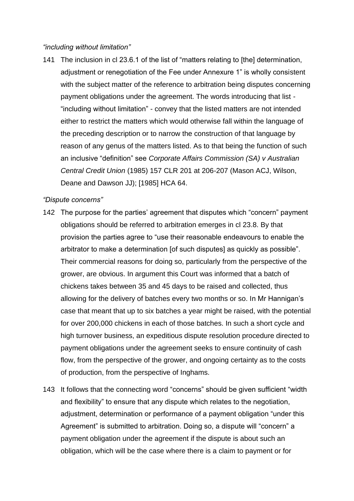## *"including without limitation"*

141 The inclusion in cl 23.6.1 of the list of "matters relating to [the] determination, adjustment or renegotiation of the Fee under Annexure 1" is wholly consistent with the subject matter of the reference to arbitration being disputes concerning payment obligations under the agreement. The words introducing that list - "including without limitation" - convey that the listed matters are not intended either to restrict the matters which would otherwise fall within the language of the preceding description or to narrow the construction of that language by reason of any genus of the matters listed. As to that being the function of such an inclusive "definition" see *Corporate Affairs Commission (SA) v Australian Central Credit Union* (1985) 157 CLR 201 at 206-207 (Mason ACJ, Wilson, Deane and Dawson JJ); [1985] HCA 64.

## *"Dispute concerns"*

- 142 The purpose for the parties' agreement that disputes which "concern" payment obligations should be referred to arbitration emerges in cl 23.8. By that provision the parties agree to "use their reasonable endeavours to enable the arbitrator to make a determination [of such disputes] as quickly as possible". Their commercial reasons for doing so, particularly from the perspective of the grower, are obvious. In argument this Court was informed that a batch of chickens takes between 35 and 45 days to be raised and collected, thus allowing for the delivery of batches every two months or so. In Mr Hannigan's case that meant that up to six batches a year might be raised, with the potential for over 200,000 chickens in each of those batches. In such a short cycle and high turnover business, an expeditious dispute resolution procedure directed to payment obligations under the agreement seeks to ensure continuity of cash flow, from the perspective of the grower, and ongoing certainty as to the costs of production, from the perspective of Inghams.
- 143 It follows that the connecting word "concerns" should be given sufficient "width and flexibility" to ensure that any dispute which relates to the negotiation, adjustment, determination or performance of a payment obligation "under this Agreement" is submitted to arbitration. Doing so, a dispute will "concern" a payment obligation under the agreement if the dispute is about such an obligation, which will be the case where there is a claim to payment or for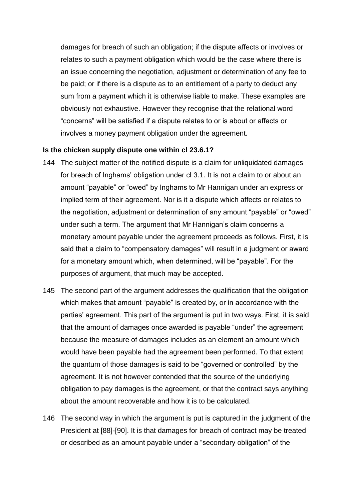damages for breach of such an obligation; if the dispute affects or involves or relates to such a payment obligation which would be the case where there is an issue concerning the negotiation, adjustment or determination of any fee to be paid; or if there is a dispute as to an entitlement of a party to deduct any sum from a payment which it is otherwise liable to make. These examples are obviously not exhaustive. However they recognise that the relational word "concerns" will be satisfied if a dispute relates to or is about or affects or involves a money payment obligation under the agreement.

### **Is the chicken supply dispute one within cl 23.6.1?**

- 144 The subject matter of the notified dispute is a claim for unliquidated damages for breach of Inghams' obligation under cl 3.1. It is not a claim to or about an amount "payable" or "owed" by Inghams to Mr Hannigan under an express or implied term of their agreement. Nor is it a dispute which affects or relates to the negotiation, adjustment or determination of any amount "payable" or "owed" under such a term. The argument that Mr Hannigan's claim concerns a monetary amount payable under the agreement proceeds as follows. First, it is said that a claim to "compensatory damages" will result in a judgment or award for a monetary amount which, when determined, will be "payable". For the purposes of argument, that much may be accepted.
- 145 The second part of the argument addresses the qualification that the obligation which makes that amount "payable" is created by, or in accordance with the parties' agreement. This part of the argument is put in two ways. First, it is said that the amount of damages once awarded is payable "under" the agreement because the measure of damages includes as an element an amount which would have been payable had the agreement been performed. To that extent the quantum of those damages is said to be "governed or controlled" by the agreement. It is not however contended that the source of the underlying obligation to pay damages is the agreement, or that the contract says anything about the amount recoverable and how it is to be calculated.
- 146 The second way in which the argument is put is captured in the judgment of the President at [88]-[90]. It is that damages for breach of contract may be treated or described as an amount payable under a "secondary obligation" of the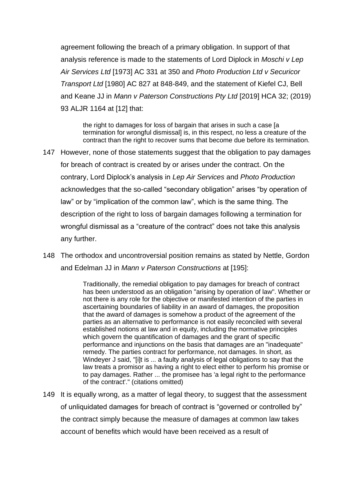agreement following the breach of a primary obligation. In support of that analysis reference is made to the statements of Lord Diplock in *Moschi v Lep Air Services Ltd* [1973] AC 331 at 350 and *Photo Production Ltd v Securicor Transport Ltd* [1980] AC 827 at 848-849, and the statement of Kiefel CJ, Bell and Keane JJ in *Mann v Paterson Constructions Pty Ltd* [2019] HCA 32; (2019) 93 ALJR 1164 at [12] that:

the right to damages for loss of bargain that arises in such a case [a termination for wrongful dismissal] is, in this respect, no less a creature of the contract than the right to recover sums that become due before its termination.

- 147 However, none of those statements suggest that the obligation to pay damages for breach of contract is created by or arises under the contract. On the contrary, Lord Diplock's analysis in *Lep Air Services* and *Photo Production*  acknowledges that the so-called "secondary obligation" arises "by operation of law" or by "implication of the common law", which is the same thing. The description of the right to loss of bargain damages following a termination for wrongful dismissal as a "creature of the contract" does not take this analysis any further.
- 148 The orthodox and uncontroversial position remains as stated by Nettle, Gordon and Edelman JJ in *Mann v Paterson Constructions* at [195]:

Traditionally, the remedial obligation to pay damages for breach of contract has been understood as an obligation "arising by operation of law". Whether or not there is any role for the objective or manifested intention of the parties in ascertaining boundaries of liability in an award of damages, the proposition that the award of damages is somehow a product of the agreement of the parties as an alternative to performance is not easily reconciled with several established notions at law and in equity, including the normative principles which govern the quantification of damages and the grant of specific performance and injunctions on the basis that damages are an "inadequate" remedy. The parties contract for performance, not damages. In short, as Windeyer J said, "[i]t is ... a faulty analysis of legal obligations to say that the law treats a promisor as having a right to elect either to perform his promise or to pay damages. Rather ... the promisee has 'a legal right to the performance of the contract'." (citations omitted)

149 It is equally wrong, as a matter of legal theory, to suggest that the assessment of unliquidated damages for breach of contract is "governed or controlled by" the contract simply because the measure of damages at common law takes account of benefits which would have been received as a result of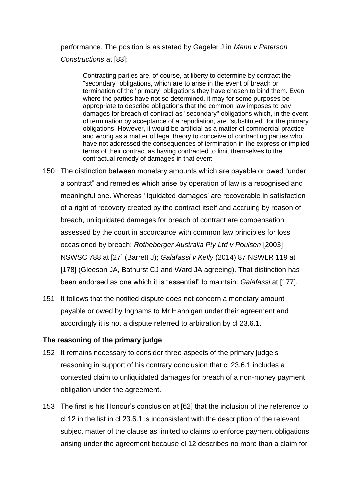performance. The position is as stated by Gageler J in *Mann v Paterson Constructions* at [83]:

Contracting parties are, of course, at liberty to determine by contract the "secondary" obligations, which are to arise in the event of breach or termination of the "primary" obligations they have chosen to bind them. Even where the parties have not so determined, it may for some purposes be appropriate to describe obligations that the common law imposes to pay damages for breach of contract as "secondary" obligations which, in the event of termination by acceptance of a repudiation, are "substituted" for the primary obligations. However, it would be artificial as a matter of commercial practice and wrong as a matter of legal theory to conceive of contracting parties who have not addressed the consequences of termination in the express or implied terms of their contract as having contracted to limit themselves to the contractual remedy of damages in that event.

- 150 The distinction between monetary amounts which are payable or owed "under a contract" and remedies which arise by operation of law is a recognised and meaningful one. Whereas 'liquidated damages' are recoverable in satisfaction of a right of recovery created by the contract itself and accruing by reason of breach, unliquidated damages for breach of contract are compensation assessed by the court in accordance with common law principles for loss occasioned by breach: *Rotheberger Australia Pty Ltd v Poulsen* [2003] NSWSC 788 at [27] (Barrett J); *Galafassi v Kelly* (2014) 87 NSWLR 119 at [178] (Gleeson JA, Bathurst CJ and Ward JA agreeing). That distinction has been endorsed as one which it is "essential" to maintain: *Galafassi* at [177].
- 151 It follows that the notified dispute does not concern a monetary amount payable or owed by Inghams to Mr Hannigan under their agreement and accordingly it is not a dispute referred to arbitration by cl 23.6.1.

### **The reasoning of the primary judge**

- 152 It remains necessary to consider three aspects of the primary judge's reasoning in support of his contrary conclusion that cl 23.6.1 includes a contested claim to unliquidated damages for breach of a non-money payment obligation under the agreement.
- 153 The first is his Honour's conclusion at [62] that the inclusion of the reference to cl 12 in the list in cl 23.6.1 is inconsistent with the description of the relevant subject matter of the clause as limited to claims to enforce payment obligations arising under the agreement because cl 12 describes no more than a claim for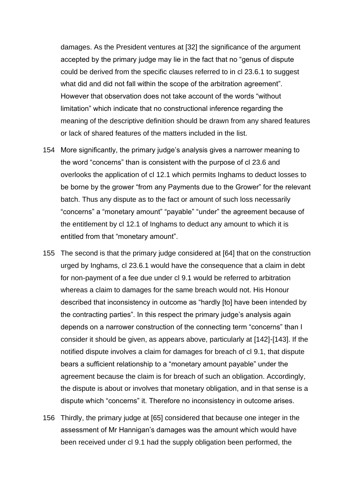damages. As the President ventures at [32] the significance of the argument accepted by the primary judge may lie in the fact that no "genus of dispute could be derived from the specific clauses referred to in cl 23.6.1 to suggest what did and did not fall within the scope of the arbitration agreement". However that observation does not take account of the words "without limitation" which indicate that no constructional inference regarding the meaning of the descriptive definition should be drawn from any shared features or lack of shared features of the matters included in the list.

- 154 More significantly, the primary judge's analysis gives a narrower meaning to the word "concerns" than is consistent with the purpose of cl 23.6 and overlooks the application of cl 12.1 which permits Inghams to deduct losses to be borne by the grower "from any Payments due to the Grower" for the relevant batch. Thus any dispute as to the fact or amount of such loss necessarily "concerns" a "monetary amount" "payable" "under" the agreement because of the entitlement by cl 12.1 of Inghams to deduct any amount to which it is entitled from that "monetary amount".
- 155 The second is that the primary judge considered at [64] that on the construction urged by Inghams, cl 23.6.1 would have the consequence that a claim in debt for non-payment of a fee due under cl 9.1 would be referred to arbitration whereas a claim to damages for the same breach would not. His Honour described that inconsistency in outcome as "hardly [to] have been intended by the contracting parties". In this respect the primary judge's analysis again depends on a narrower construction of the connecting term "concerns" than I consider it should be given, as appears above, particularly at [142]-[143]. If the notified dispute involves a claim for damages for breach of cl 9.1, that dispute bears a sufficient relationship to a "monetary amount payable" under the agreement because the claim is for breach of such an obligation. Accordingly, the dispute is about or involves that monetary obligation, and in that sense is a dispute which "concerns" it. Therefore no inconsistency in outcome arises.
- 156 Thirdly, the primary judge at [65] considered that because one integer in the assessment of Mr Hannigan's damages was the amount which would have been received under cl 9.1 had the supply obligation been performed, the